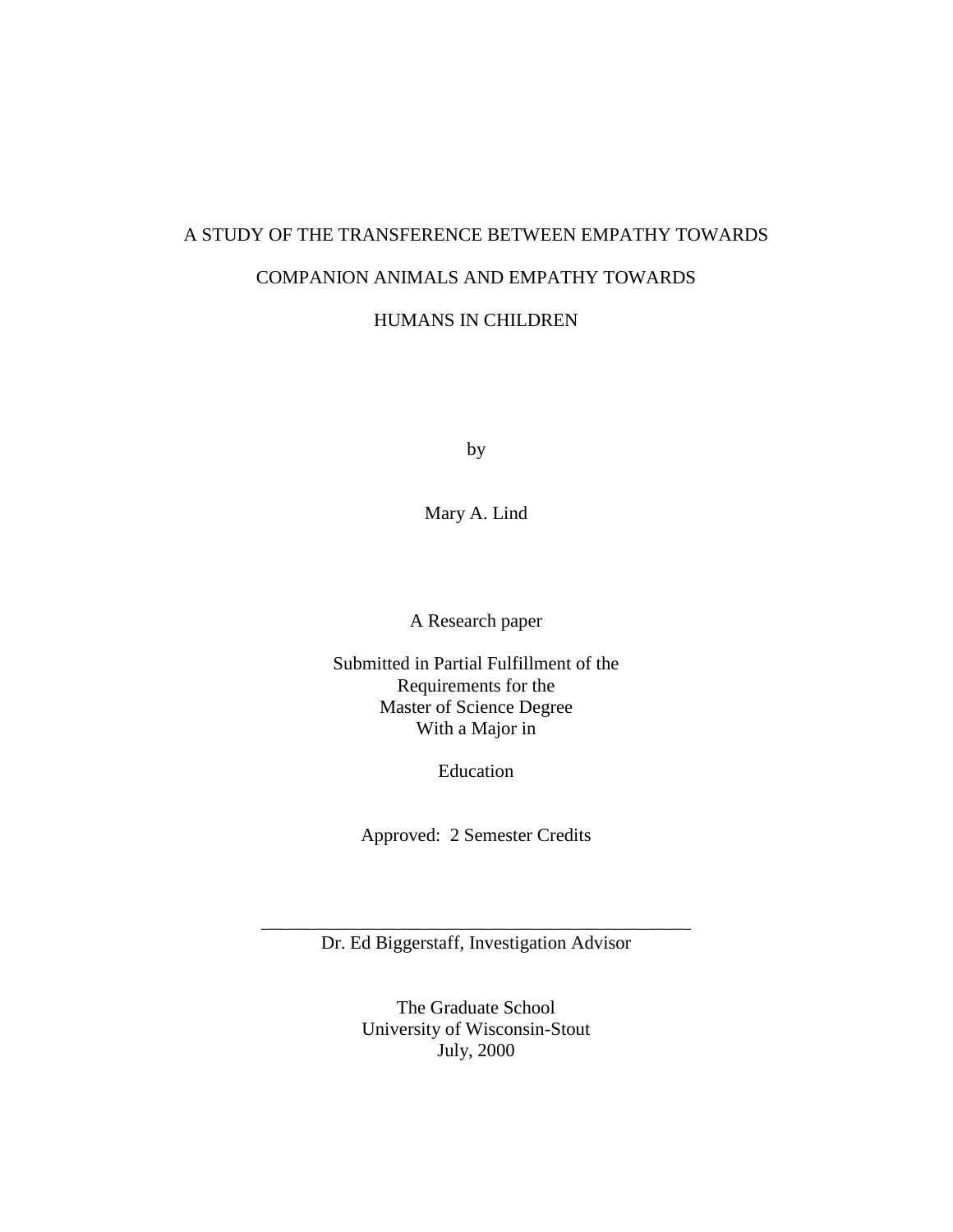# A STUDY OF THE TRANSFERENCE BETWEEN EMPATHY TOWARDS COMPANION ANIMALS AND EMPATHY TOWARDS

HUMANS IN CHILDREN

by

Mary A. Lind

A Research paper

Submitted in Partial Fulfillment of the Requirements for the Master of Science Degree With a Major in

Education

Approved: 2 Semester Credits

\_\_\_\_\_\_\_\_\_\_\_\_\_\_\_\_\_\_\_\_\_\_\_\_\_\_\_\_\_\_\_\_\_\_\_\_\_\_\_\_\_\_\_\_\_\_ Dr. Ed Biggerstaff, Investigation Advisor

> The Graduate School University of Wisconsin-Stout July, 2000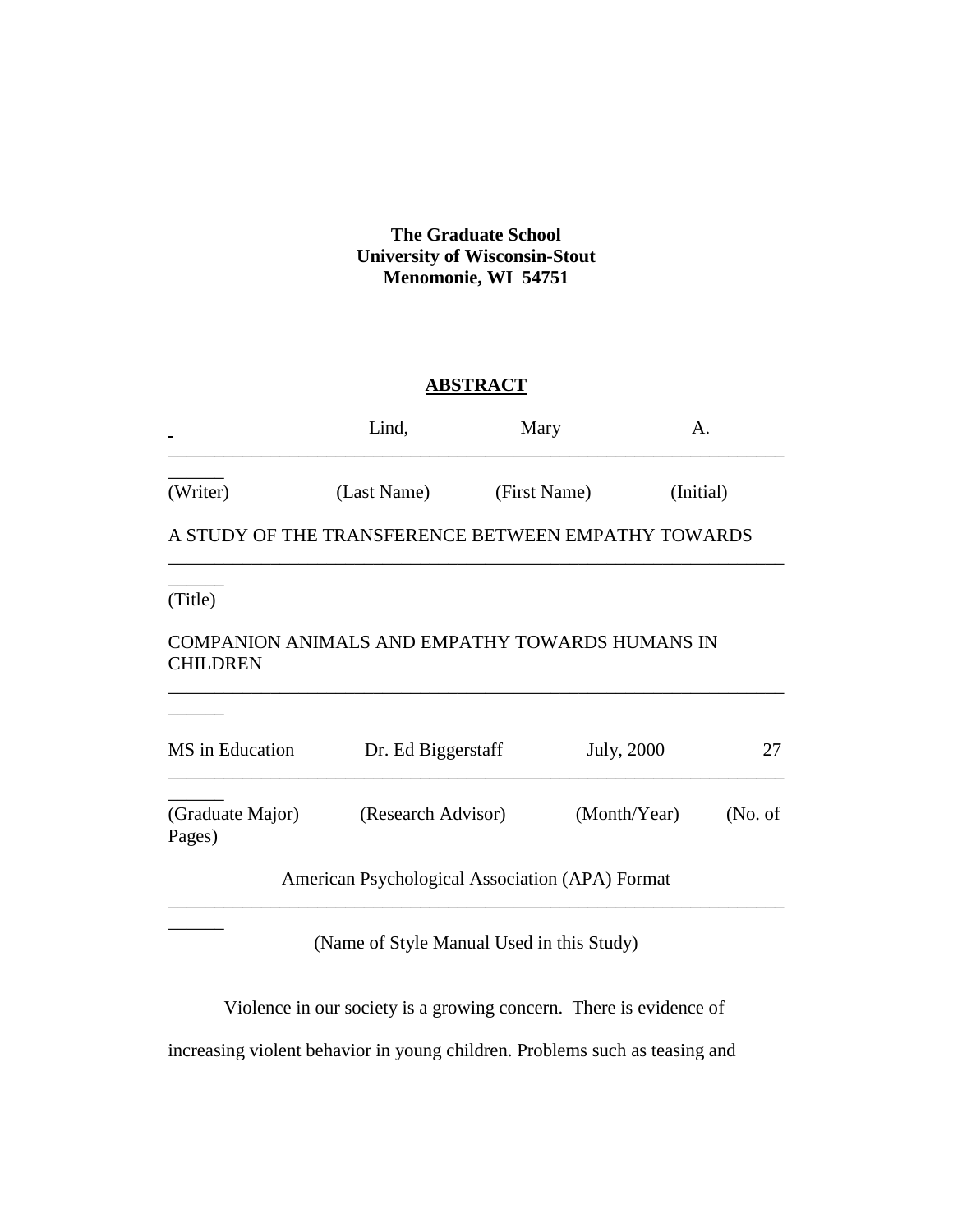## **The Graduate School University of Wisconsin-Stout Menomonie, WI 54751**

## **ABSTRACT**

|                            | Lind,                                               | Mary         | А.           |           |  |
|----------------------------|-----------------------------------------------------|--------------|--------------|-----------|--|
| (Writer)                   | (Last Name)                                         | (First Name) |              | (Initial) |  |
|                            | A STUDY OF THE TRANSFERENCE BETWEEN EMPATHY TOWARDS |              |              |           |  |
| (Title)                    |                                                     |              |              |           |  |
| <b>CHILDREN</b>            | COMPANION ANIMALS AND EMPATHY TOWARDS HUMANS IN     |              |              |           |  |
|                            |                                                     |              |              |           |  |
| MS in Education            | Dr. Ed Biggerstaff                                  |              | July, 2000   | 27        |  |
| (Graduate Major)<br>Pages) | (Research Advisor)                                  |              | (Month/Year) | (No. of)  |  |
|                            | American Psychological Association (APA) Format     |              |              |           |  |

(Name of Style Manual Used in this Study)

\_\_\_\_\_\_\_\_\_\_\_\_\_\_\_\_\_\_\_\_\_\_\_\_\_\_\_\_\_\_\_\_\_\_\_\_\_\_\_\_\_\_\_\_\_\_\_\_\_\_\_\_\_\_\_\_\_\_\_\_\_\_\_\_\_\_

Violence in our society is a growing concern. There is evidence of

increasing violent behavior in young children. Problems such as teasing and

\_\_\_\_\_\_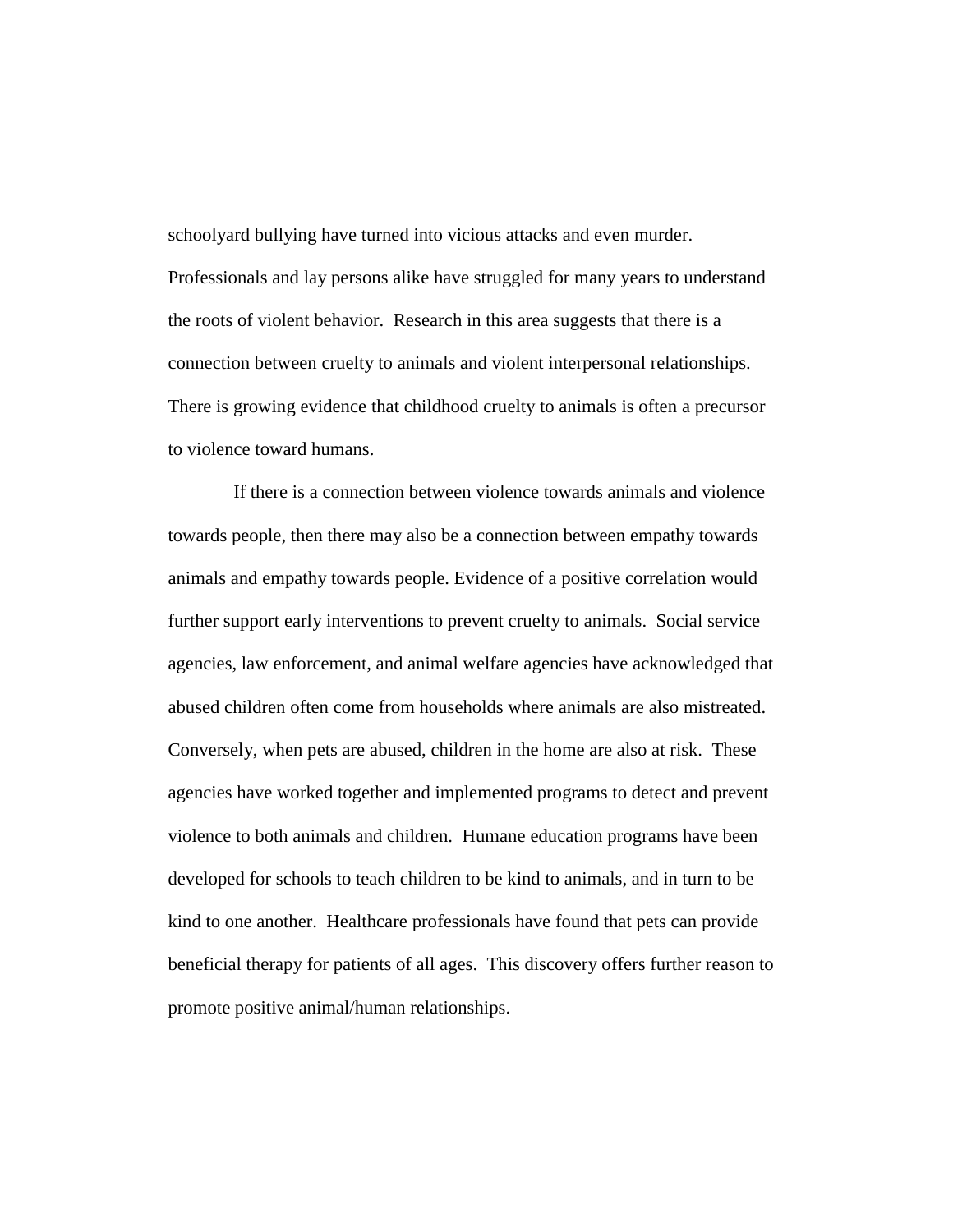schoolyard bullying have turned into vicious attacks and even murder. Professionals and lay persons alike have struggled for many years to understand the roots of violent behavior. Research in this area suggests that there is a connection between cruelty to animals and violent interpersonal relationships. There is growing evidence that childhood cruelty to animals is often a precursor to violence toward humans.

 If there is a connection between violence towards animals and violence towards people, then there may also be a connection between empathy towards animals and empathy towards people. Evidence of a positive correlation would further support early interventions to prevent cruelty to animals. Social service agencies, law enforcement, and animal welfare agencies have acknowledged that abused children often come from households where animals are also mistreated. Conversely, when pets are abused, children in the home are also at risk. These agencies have worked together and implemented programs to detect and prevent violence to both animals and children. Humane education programs have been developed for schools to teach children to be kind to animals, and in turn to be kind to one another. Healthcare professionals have found that pets can provide beneficial therapy for patients of all ages. This discovery offers further reason to promote positive animal/human relationships.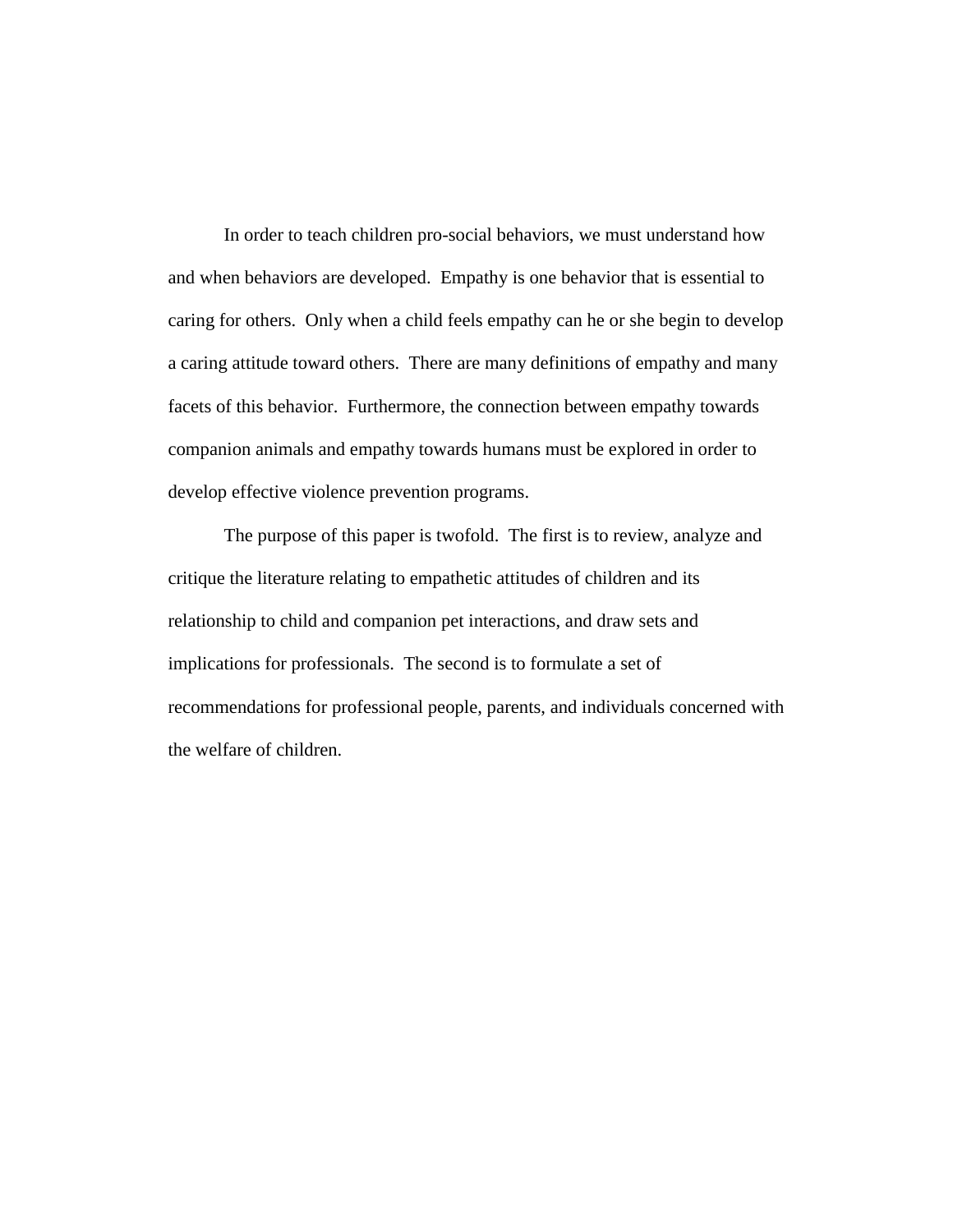In order to teach children pro-social behaviors, we must understand how and when behaviors are developed. Empathy is one behavior that is essential to caring for others. Only when a child feels empathy can he or she begin to develop a caring attitude toward others. There are many definitions of empathy and many facets of this behavior. Furthermore, the connection between empathy towards companion animals and empathy towards humans must be explored in order to develop effective violence prevention programs.

The purpose of this paper is twofold. The first is to review, analyze and critique the literature relating to empathetic attitudes of children and its relationship to child and companion pet interactions, and draw sets and implications for professionals. The second is to formulate a set of recommendations for professional people, parents, and individuals concerned with the welfare of children.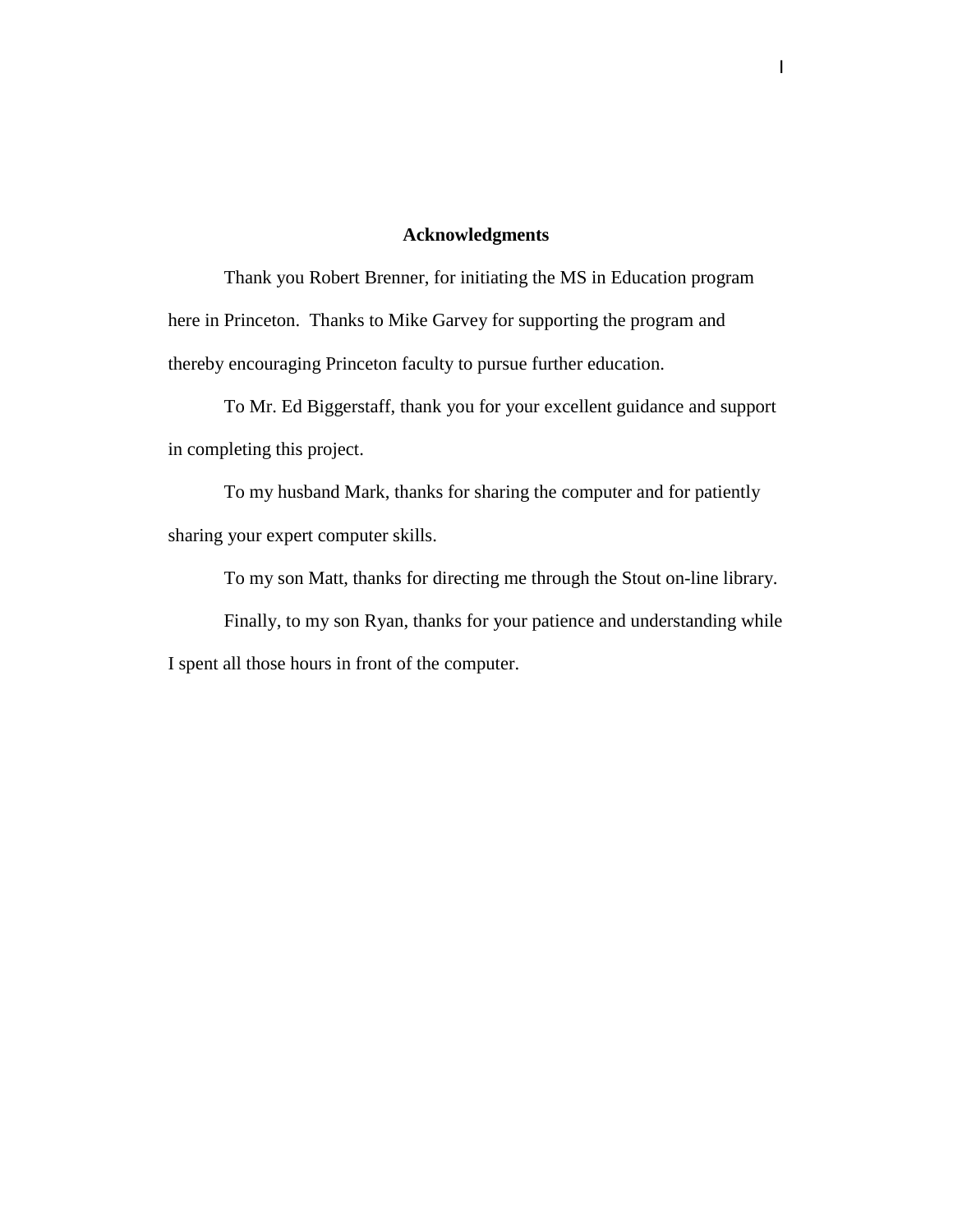## **Acknowledgments**

Thank you Robert Brenner, for initiating the MS in Education program here in Princeton. Thanks to Mike Garvey for supporting the program and thereby encouraging Princeton faculty to pursue further education.

To Mr. Ed Biggerstaff, thank you for your excellent guidance and support in completing this project.

To my husband Mark, thanks for sharing the computer and for patiently sharing your expert computer skills.

To my son Matt, thanks for directing me through the Stout on-line library.

Finally, to my son Ryan, thanks for your patience and understanding while I spent all those hours in front of the computer.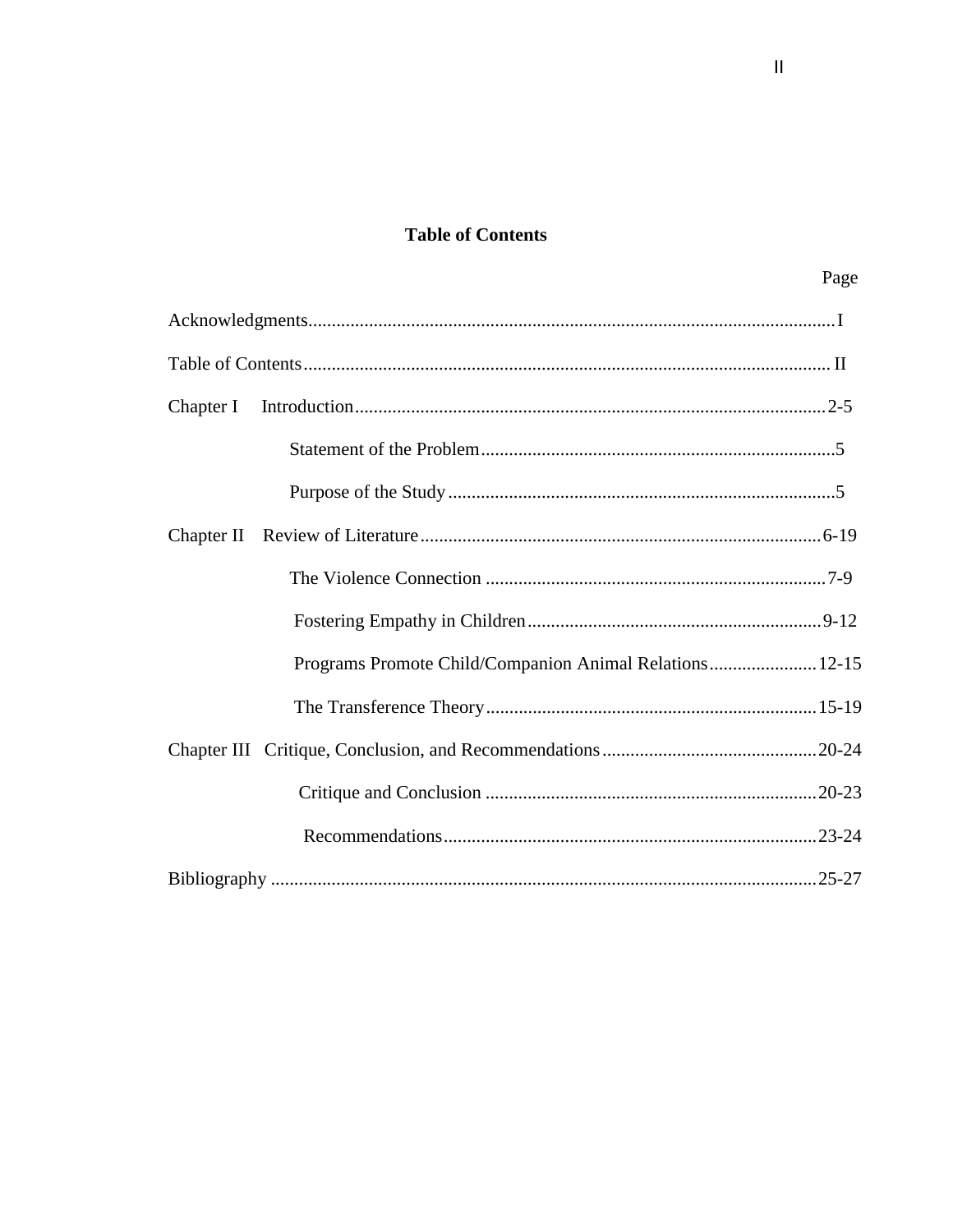# **Table of Contents**

| Programs Promote Child/Companion Animal Relations 12-15 |  |
|---------------------------------------------------------|--|
|                                                         |  |
|                                                         |  |
|                                                         |  |
|                                                         |  |

Page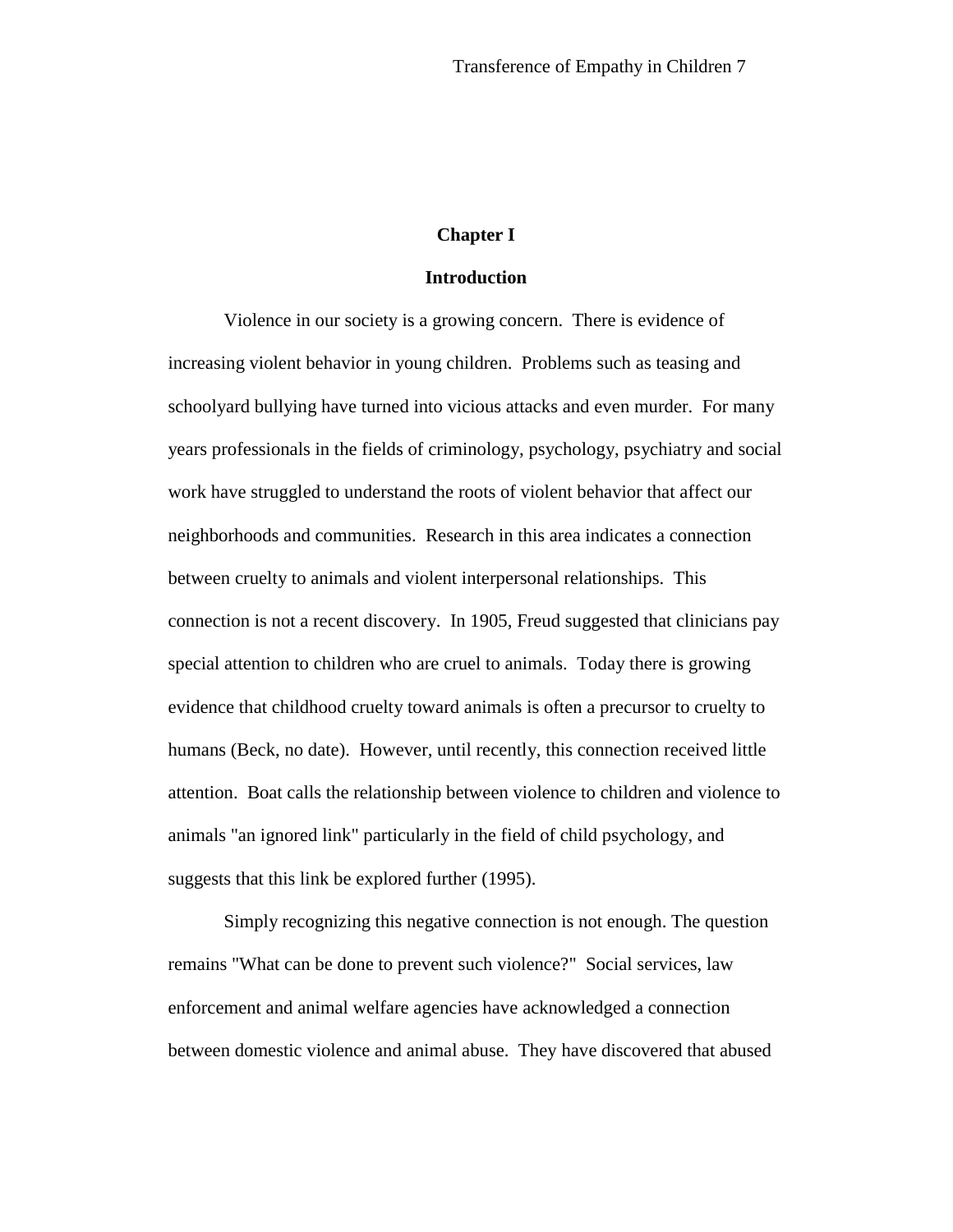## **Chapter I**

#### **Introduction**

Violence in our society is a growing concern. There is evidence of increasing violent behavior in young children. Problems such as teasing and schoolyard bullying have turned into vicious attacks and even murder. For many years professionals in the fields of criminology, psychology, psychiatry and social work have struggled to understand the roots of violent behavior that affect our neighborhoods and communities. Research in this area indicates a connection between cruelty to animals and violent interpersonal relationships. This connection is not a recent discovery. In 1905, Freud suggested that clinicians pay special attention to children who are cruel to animals. Today there is growing evidence that childhood cruelty toward animals is often a precursor to cruelty to humans (Beck, no date). However, until recently, this connection received little attention. Boat calls the relationship between violence to children and violence to animals "an ignored link" particularly in the field of child psychology, and suggests that this link be explored further (1995).

Simply recognizing this negative connection is not enough. The question remains "What can be done to prevent such violence?" Social services, law enforcement and animal welfare agencies have acknowledged a connection between domestic violence and animal abuse. They have discovered that abused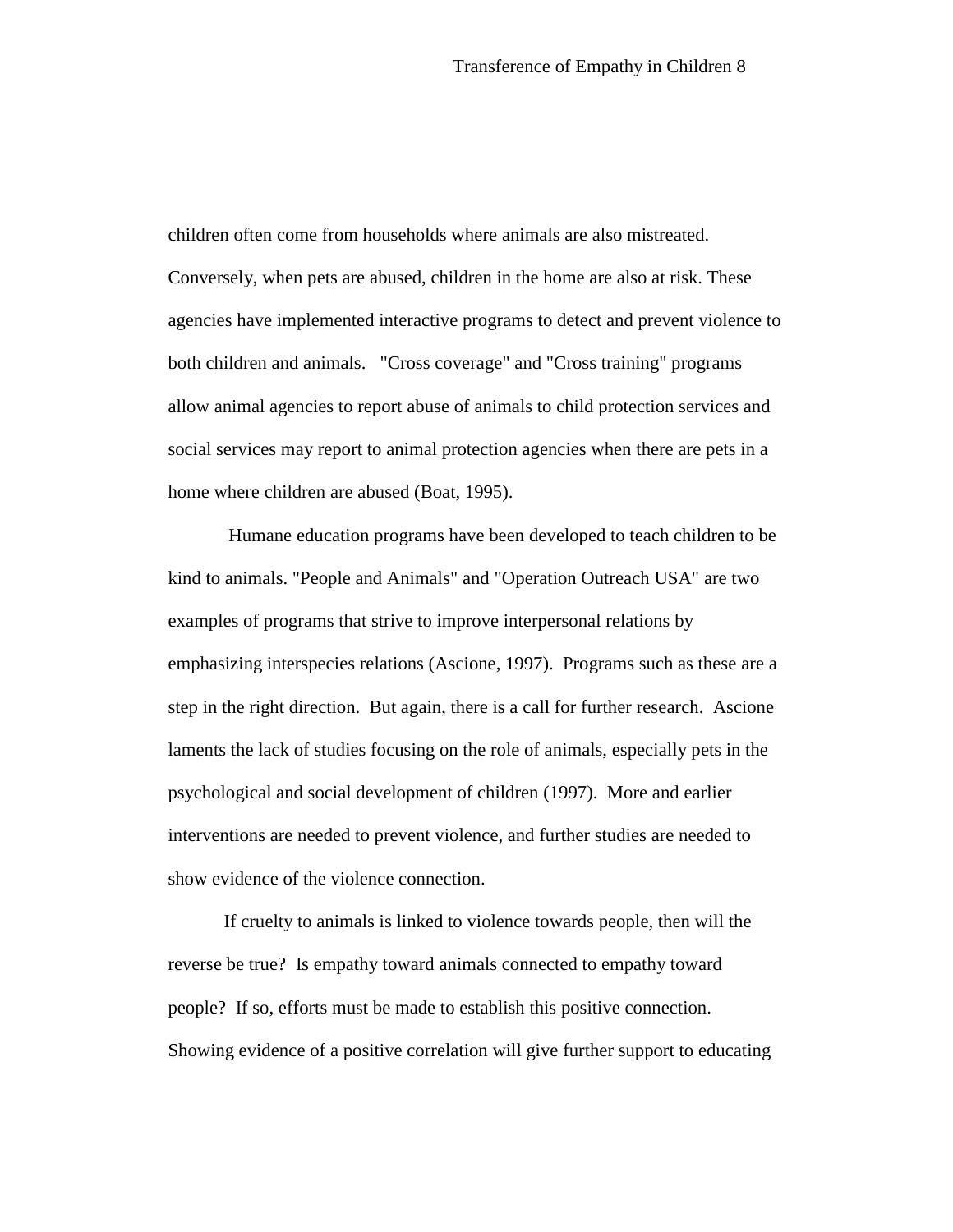children often come from households where animals are also mistreated. Conversely, when pets are abused, children in the home are also at risk. These agencies have implemented interactive programs to detect and prevent violence to both children and animals. "Cross coverage" and "Cross training" programs allow animal agencies to report abuse of animals to child protection services and social services may report to animal protection agencies when there are pets in a home where children are abused (Boat, 1995).

 Humane education programs have been developed to teach children to be kind to animals. "People and Animals" and "Operation Outreach USA" are two examples of programs that strive to improve interpersonal relations by emphasizing interspecies relations (Ascione, 1997). Programs such as these are a step in the right direction. But again, there is a call for further research. Ascione laments the lack of studies focusing on the role of animals, especially pets in the psychological and social development of children (1997). More and earlier interventions are needed to prevent violence, and further studies are needed to show evidence of the violence connection.

If cruelty to animals is linked to violence towards people, then will the reverse be true? Is empathy toward animals connected to empathy toward people? If so, efforts must be made to establish this positive connection. Showing evidence of a positive correlation will give further support to educating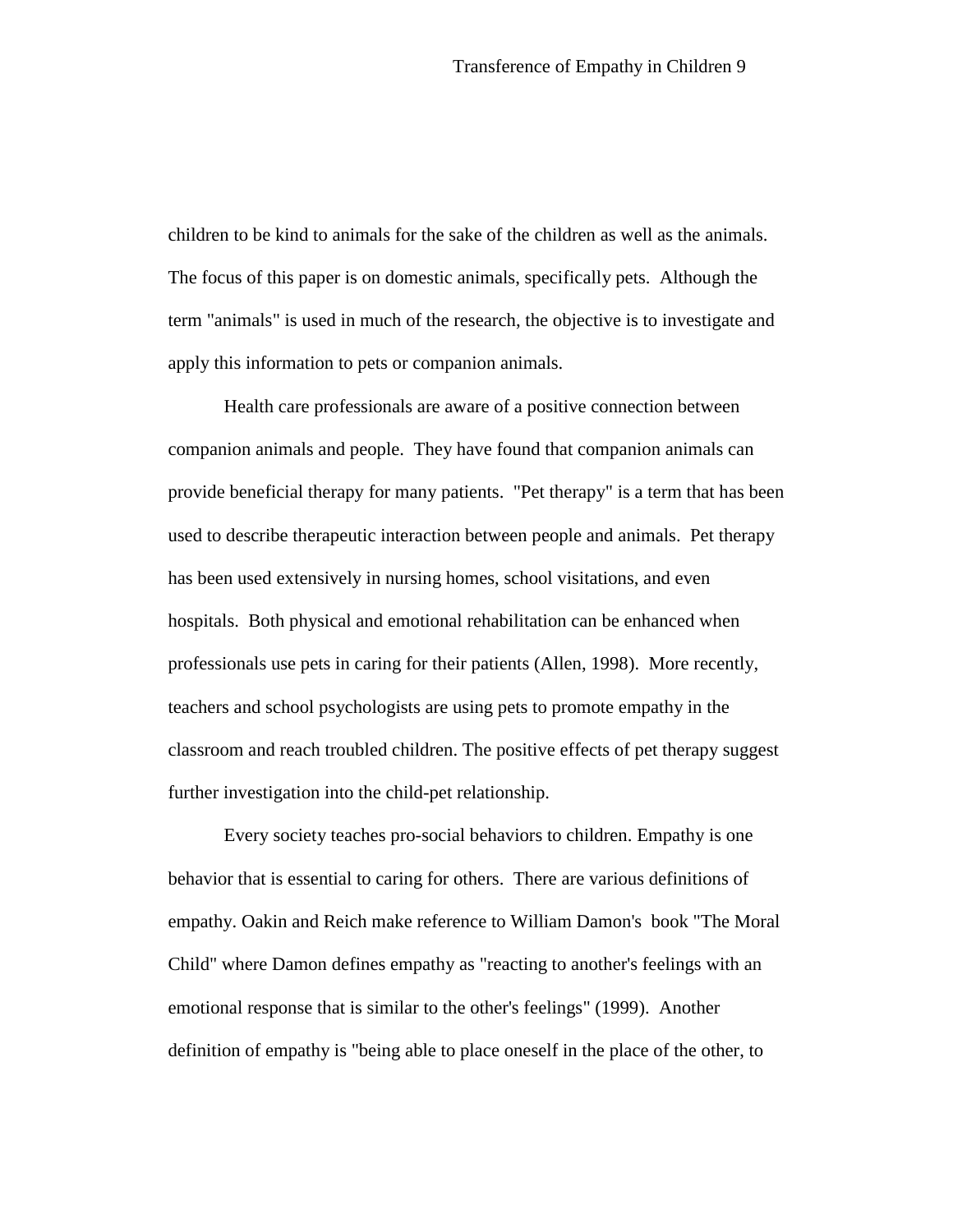children to be kind to animals for the sake of the children as well as the animals. The focus of this paper is on domestic animals, specifically pets. Although the term "animals" is used in much of the research, the objective is to investigate and apply this information to pets or companion animals.

Health care professionals are aware of a positive connection between companion animals and people. They have found that companion animals can provide beneficial therapy for many patients. "Pet therapy" is a term that has been used to describe therapeutic interaction between people and animals. Pet therapy has been used extensively in nursing homes, school visitations, and even hospitals. Both physical and emotional rehabilitation can be enhanced when professionals use pets in caring for their patients (Allen, 1998). More recently, teachers and school psychologists are using pets to promote empathy in the classroom and reach troubled children. The positive effects of pet therapy suggest further investigation into the child-pet relationship.

Every society teaches pro-social behaviors to children. Empathy is one behavior that is essential to caring for others. There are various definitions of empathy. Oakin and Reich make reference to William Damon's book "The Moral Child" where Damon defines empathy as "reacting to another's feelings with an emotional response that is similar to the other's feelings" (1999). Another definition of empathy is "being able to place oneself in the place of the other, to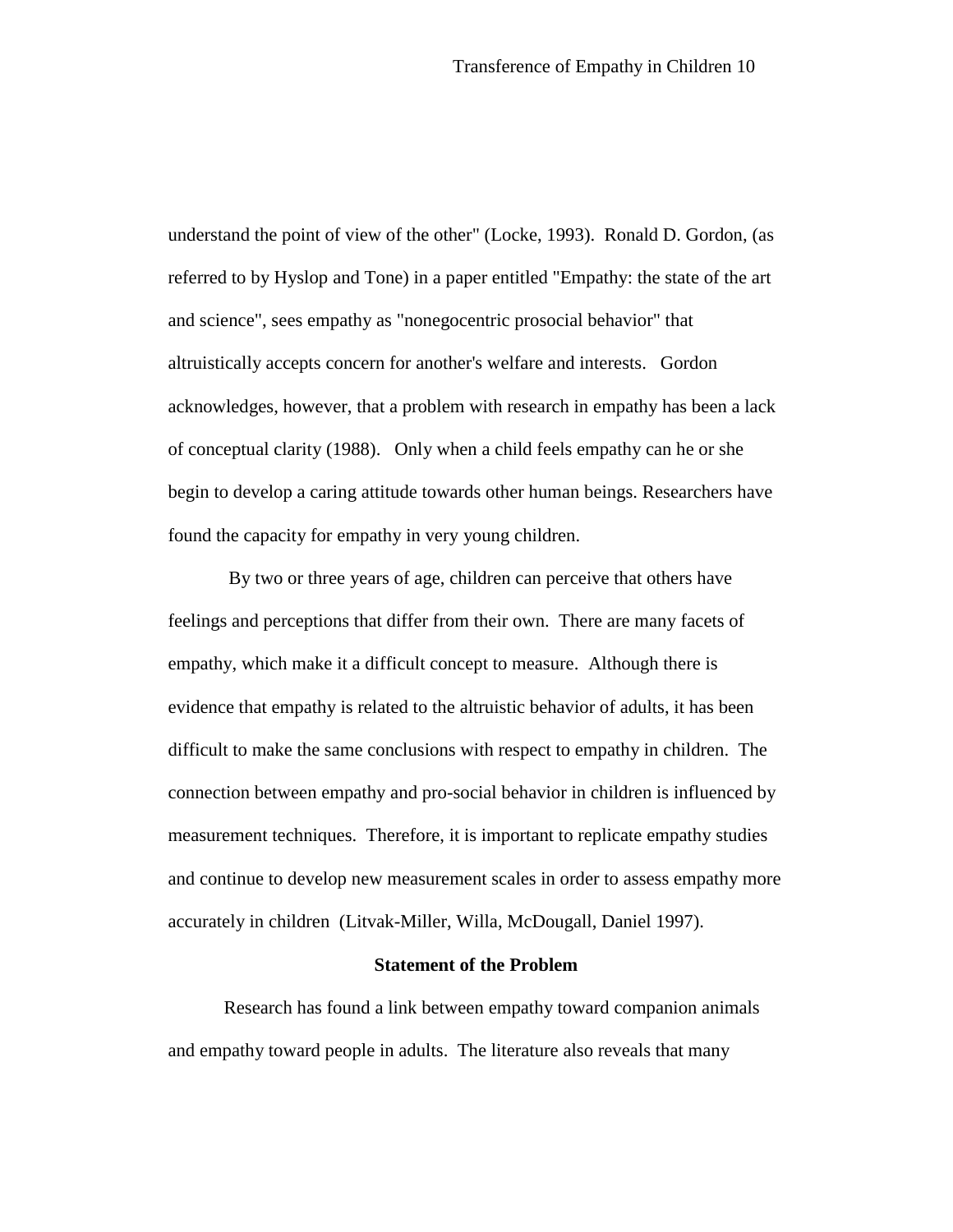understand the point of view of the other" (Locke, 1993). Ronald D. Gordon, (as referred to by Hyslop and Tone) in a paper entitled "Empathy: the state of the art and science", sees empathy as "nonegocentric prosocial behavior" that altruistically accepts concern for another's welfare and interests. Gordon acknowledges, however, that a problem with research in empathy has been a lack of conceptual clarity (1988). Only when a child feels empathy can he or she begin to develop a caring attitude towards other human beings. Researchers have found the capacity for empathy in very young children.

 By two or three years of age, children can perceive that others have feelings and perceptions that differ from their own. There are many facets of empathy, which make it a difficult concept to measure. Although there is evidence that empathy is related to the altruistic behavior of adults, it has been difficult to make the same conclusions with respect to empathy in children. The connection between empathy and pro-social behavior in children is influenced by measurement techniques. Therefore, it is important to replicate empathy studies and continue to develop new measurement scales in order to assess empathy more accurately in children (Litvak-Miller, Willa, McDougall, Daniel 1997).

#### **Statement of the Problem**

Research has found a link between empathy toward companion animals and empathy toward people in adults. The literature also reveals that many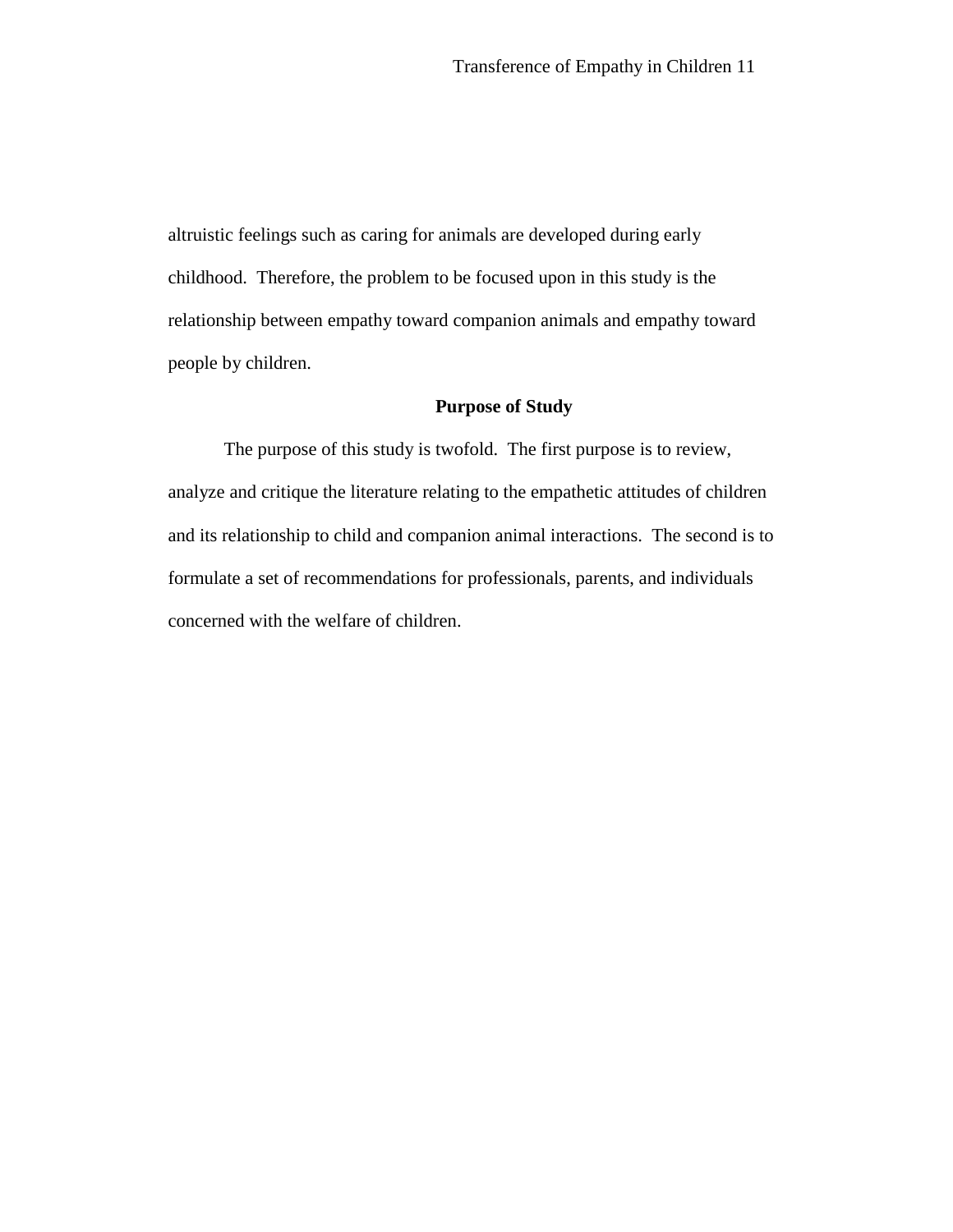altruistic feelings such as caring for animals are developed during early childhood. Therefore, the problem to be focused upon in this study is the relationship between empathy toward companion animals and empathy toward people by children.

## **Purpose of Study**

The purpose of this study is twofold. The first purpose is to review, analyze and critique the literature relating to the empathetic attitudes of children and its relationship to child and companion animal interactions. The second is to formulate a set of recommendations for professionals, parents, and individuals concerned with the welfare of children.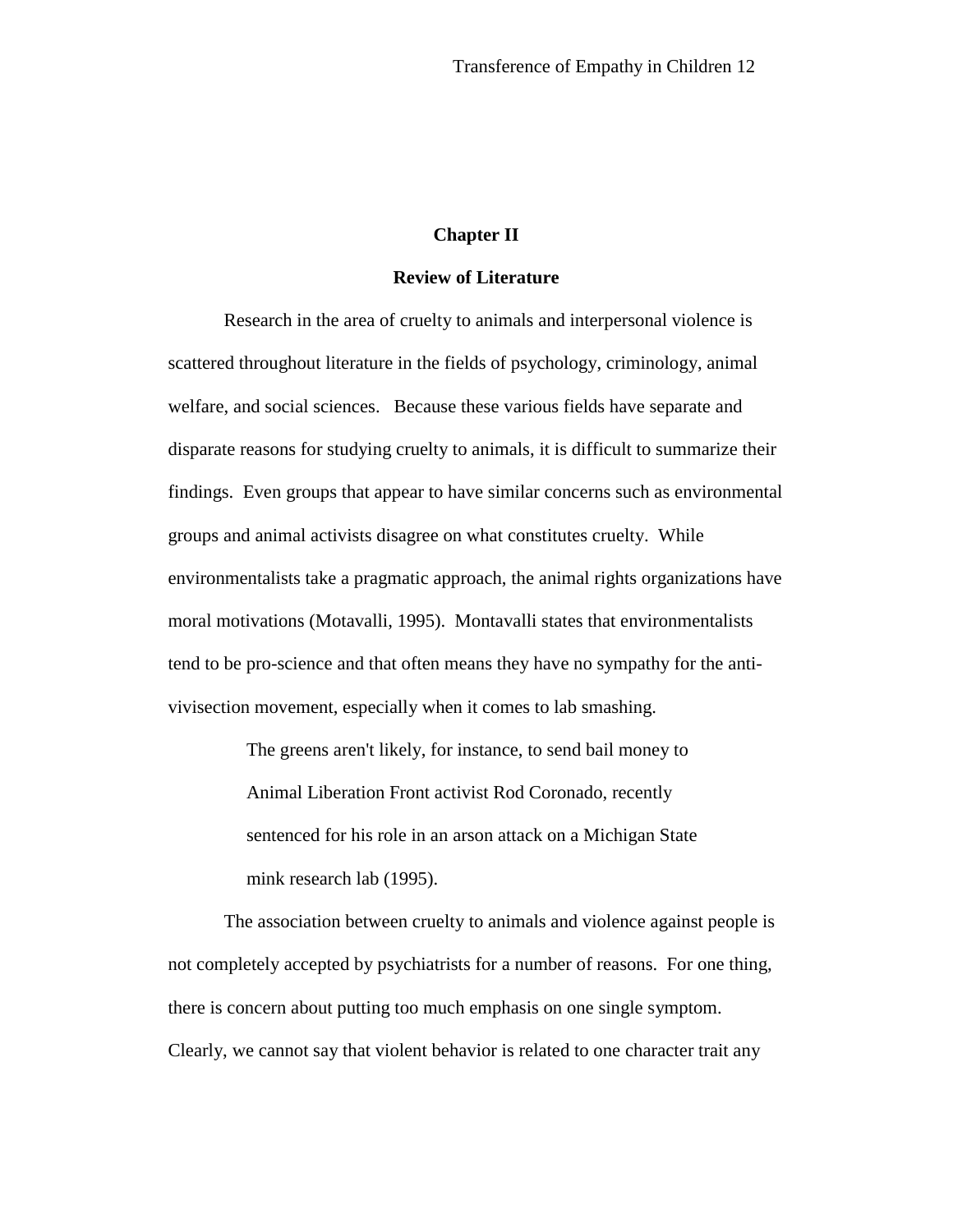## **Chapter II**

## **Review of Literature**

Research in the area of cruelty to animals and interpersonal violence is scattered throughout literature in the fields of psychology, criminology, animal welfare, and social sciences. Because these various fields have separate and disparate reasons for studying cruelty to animals, it is difficult to summarize their findings. Even groups that appear to have similar concerns such as environmental groups and animal activists disagree on what constitutes cruelty. While environmentalists take a pragmatic approach, the animal rights organizations have moral motivations (Motavalli, 1995). Montavalli states that environmentalists tend to be pro-science and that often means they have no sympathy for the antivivisection movement, especially when it comes to lab smashing.

> The greens aren't likely, for instance, to send bail money to Animal Liberation Front activist Rod Coronado, recently sentenced for his role in an arson attack on a Michigan State mink research lab (1995).

The association between cruelty to animals and violence against people is not completely accepted by psychiatrists for a number of reasons. For one thing, there is concern about putting too much emphasis on one single symptom. Clearly, we cannot say that violent behavior is related to one character trait any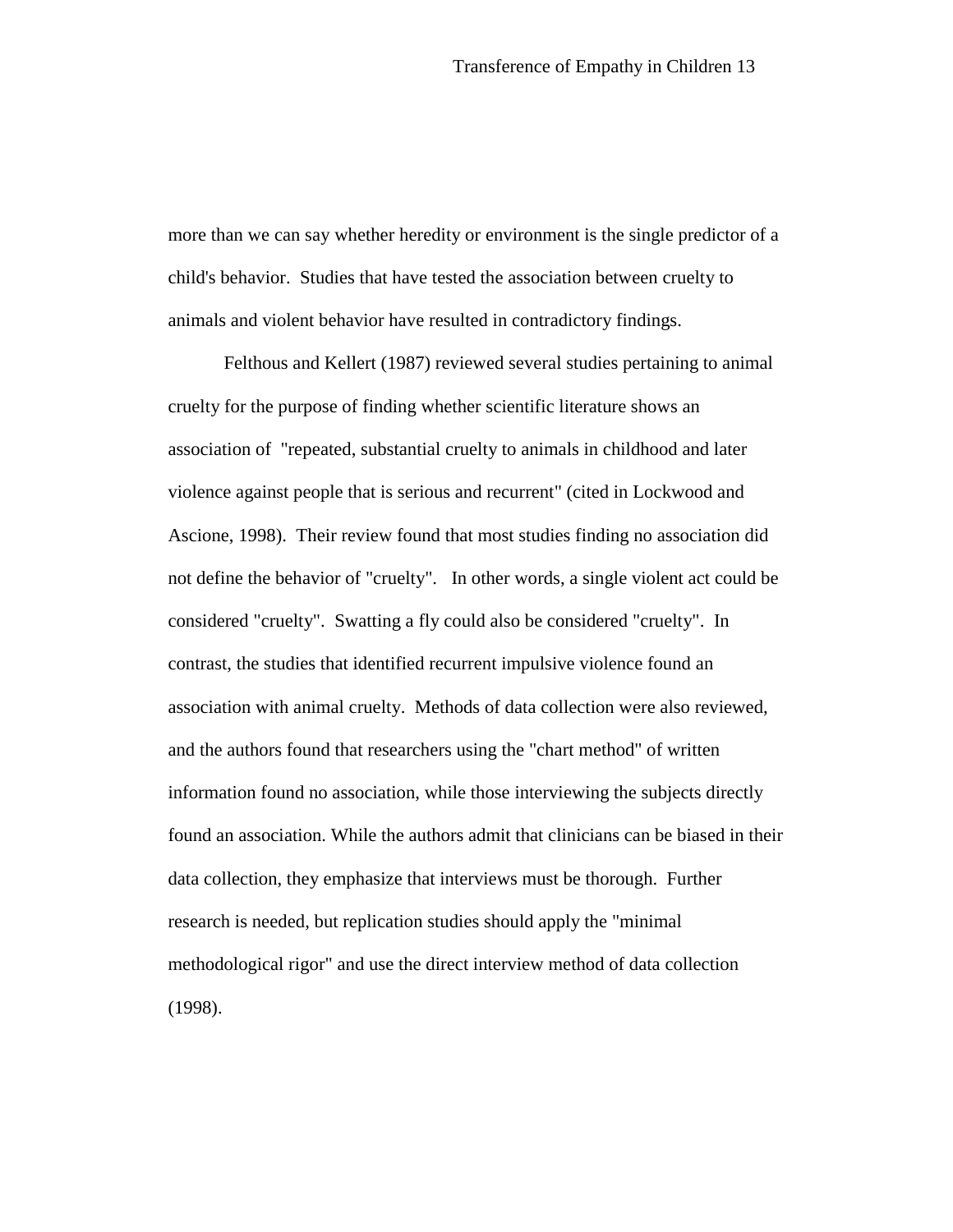more than we can say whether heredity or environment is the single predictor of a child's behavior. Studies that have tested the association between cruelty to animals and violent behavior have resulted in contradictory findings.

Felthous and Kellert (1987) reviewed several studies pertaining to animal cruelty for the purpose of finding whether scientific literature shows an association of "repeated, substantial cruelty to animals in childhood and later violence against people that is serious and recurrent" (cited in Lockwood and Ascione, 1998). Their review found that most studies finding no association did not define the behavior of "cruelty". In other words, a single violent act could be considered "cruelty". Swatting a fly could also be considered "cruelty". In contrast, the studies that identified recurrent impulsive violence found an association with animal cruelty. Methods of data collection were also reviewed, and the authors found that researchers using the "chart method" of written information found no association, while those interviewing the subjects directly found an association. While the authors admit that clinicians can be biased in their data collection, they emphasize that interviews must be thorough. Further research is needed, but replication studies should apply the "minimal methodological rigor" and use the direct interview method of data collection (1998).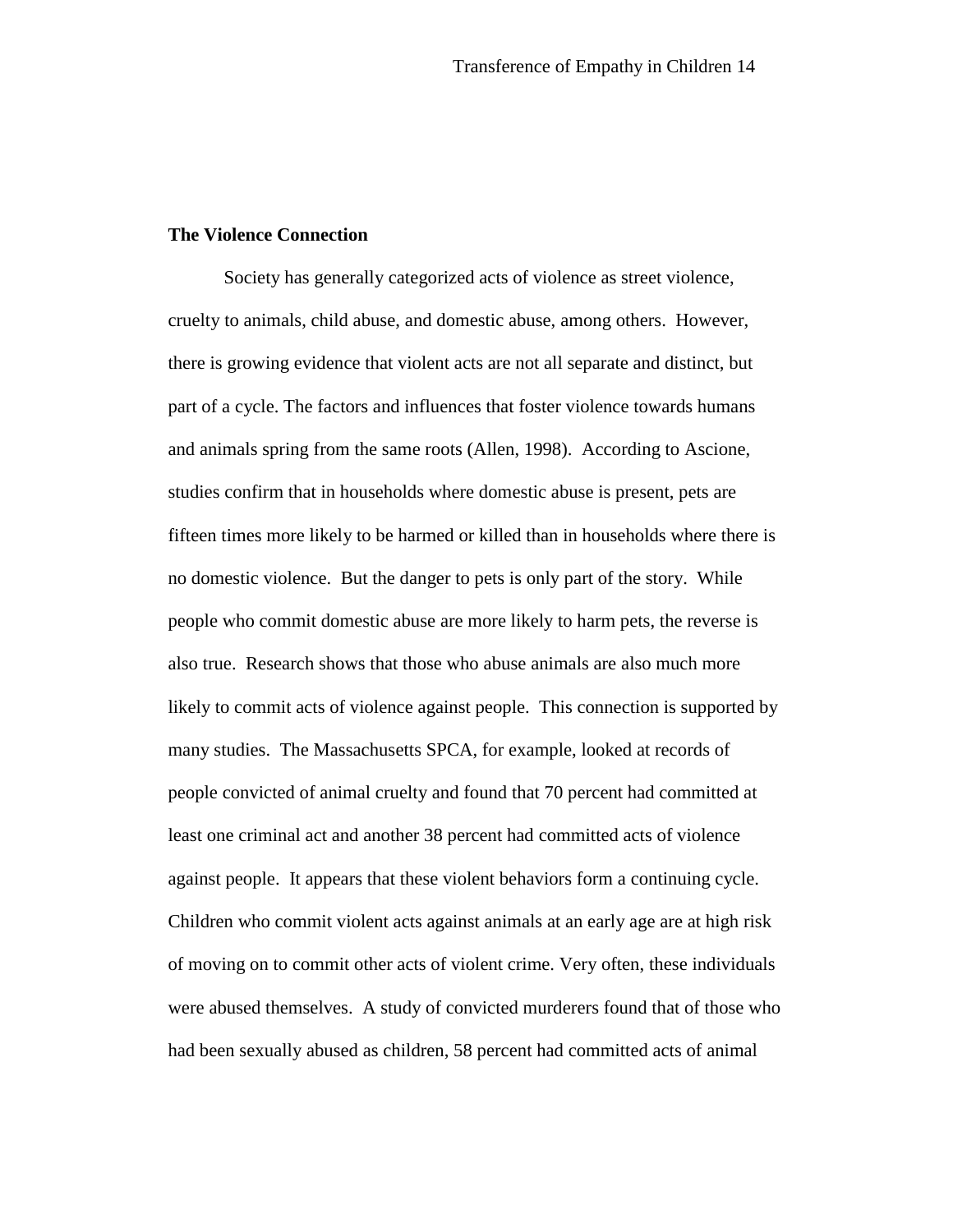### **The Violence Connection**

Society has generally categorized acts of violence as street violence, cruelty to animals, child abuse, and domestic abuse, among others. However, there is growing evidence that violent acts are not all separate and distinct, but part of a cycle. The factors and influences that foster violence towards humans and animals spring from the same roots (Allen, 1998). According to Ascione, studies confirm that in households where domestic abuse is present, pets are fifteen times more likely to be harmed or killed than in households where there is no domestic violence. But the danger to pets is only part of the story. While people who commit domestic abuse are more likely to harm pets, the reverse is also true. Research shows that those who abuse animals are also much more likely to commit acts of violence against people. This connection is supported by many studies. The Massachusetts SPCA, for example, looked at records of people convicted of animal cruelty and found that 70 percent had committed at least one criminal act and another 38 percent had committed acts of violence against people. It appears that these violent behaviors form a continuing cycle. Children who commit violent acts against animals at an early age are at high risk of moving on to commit other acts of violent crime. Very often, these individuals were abused themselves. A study of convicted murderers found that of those who had been sexually abused as children, 58 percent had committed acts of animal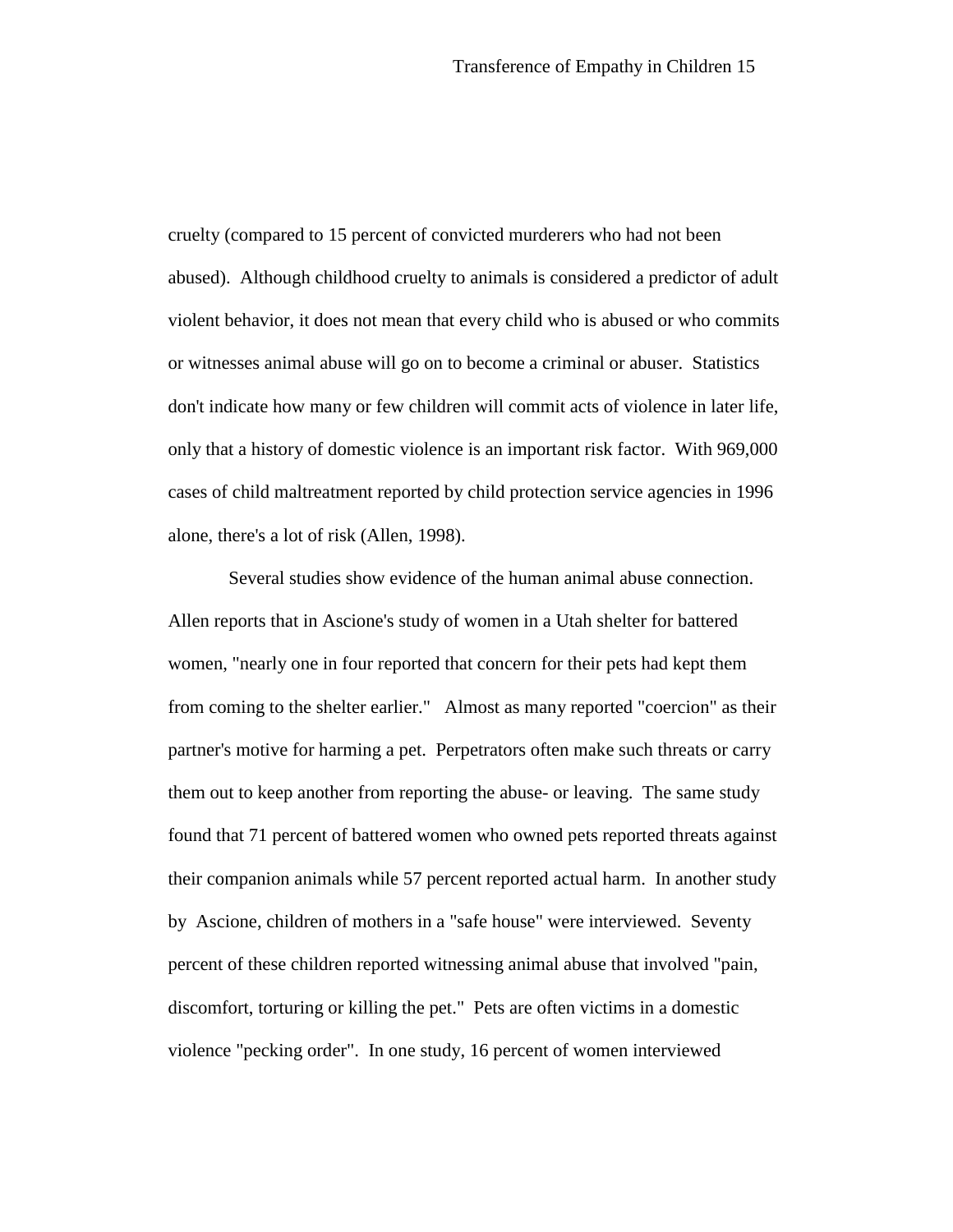cruelty (compared to 15 percent of convicted murderers who had not been abused). Although childhood cruelty to animals is considered a predictor of adult violent behavior, it does not mean that every child who is abused or who commits or witnesses animal abuse will go on to become a criminal or abuser. Statistics don't indicate how many or few children will commit acts of violence in later life, only that a history of domestic violence is an important risk factor. With 969,000 cases of child maltreatment reported by child protection service agencies in 1996 alone, there's a lot of risk (Allen, 1998).

 Several studies show evidence of the human animal abuse connection. Allen reports that in Ascione's study of women in a Utah shelter for battered women, "nearly one in four reported that concern for their pets had kept them from coming to the shelter earlier." Almost as many reported "coercion" as their partner's motive for harming a pet. Perpetrators often make such threats or carry them out to keep another from reporting the abuse- or leaving. The same study found that 71 percent of battered women who owned pets reported threats against their companion animals while 57 percent reported actual harm. In another study by Ascione, children of mothers in a "safe house" were interviewed. Seventy percent of these children reported witnessing animal abuse that involved "pain, discomfort, torturing or killing the pet." Pets are often victims in a domestic violence "pecking order". In one study, 16 percent of women interviewed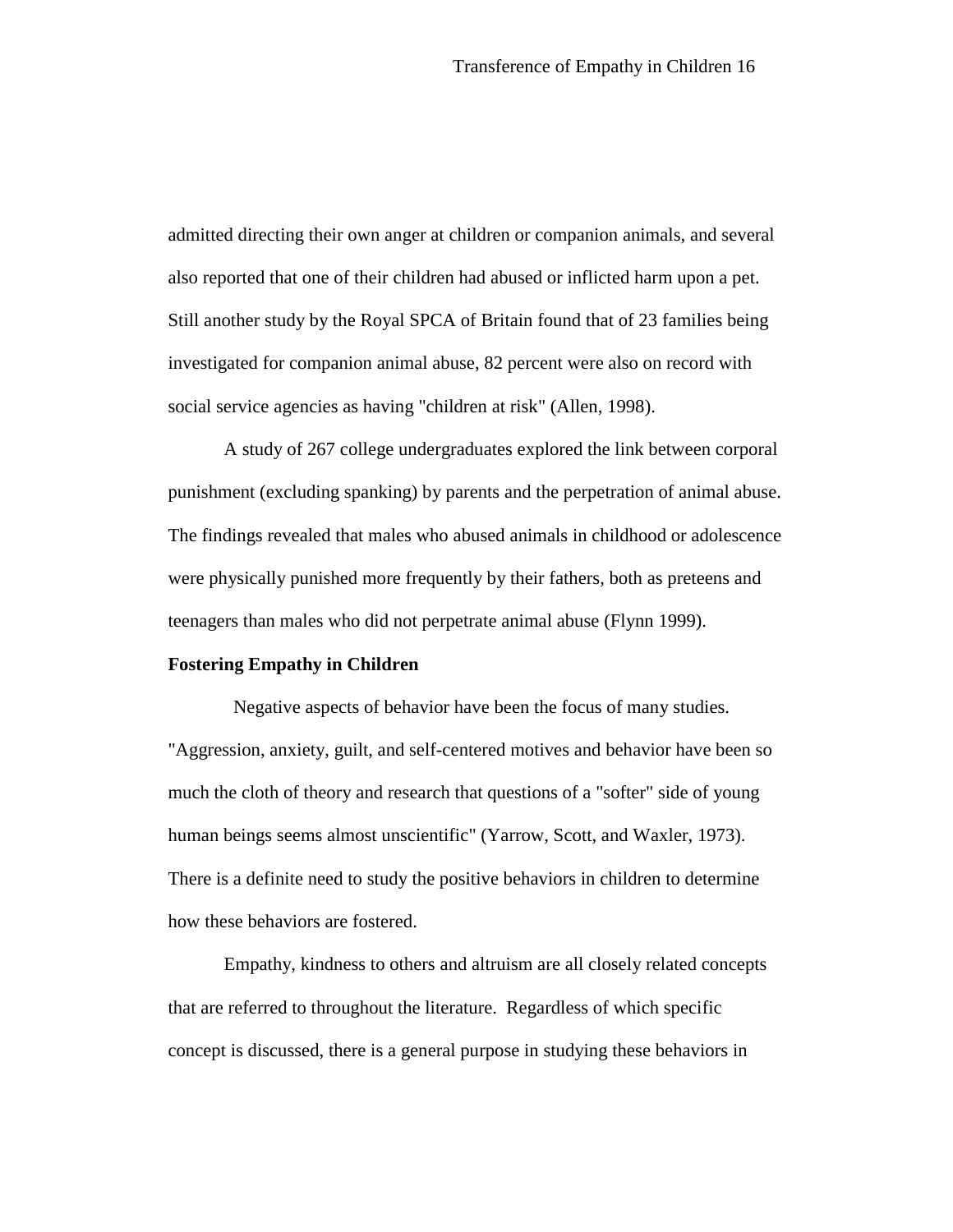admitted directing their own anger at children or companion animals, and several also reported that one of their children had abused or inflicted harm upon a pet. Still another study by the Royal SPCA of Britain found that of 23 families being investigated for companion animal abuse, 82 percent were also on record with social service agencies as having "children at risk" (Allen, 1998).

A study of 267 college undergraduates explored the link between corporal punishment (excluding spanking) by parents and the perpetration of animal abuse. The findings revealed that males who abused animals in childhood or adolescence were physically punished more frequently by their fathers, both as preteens and teenagers than males who did not perpetrate animal abuse (Flynn 1999).

#### **Fostering Empathy in Children**

 Negative aspects of behavior have been the focus of many studies. "Aggression, anxiety, guilt, and self-centered motives and behavior have been so much the cloth of theory and research that questions of a "softer" side of young human beings seems almost unscientific" (Yarrow, Scott, and Waxler, 1973). There is a definite need to study the positive behaviors in children to determine how these behaviors are fostered.

Empathy, kindness to others and altruism are all closely related concepts that are referred to throughout the literature. Regardless of which specific concept is discussed, there is a general purpose in studying these behaviors in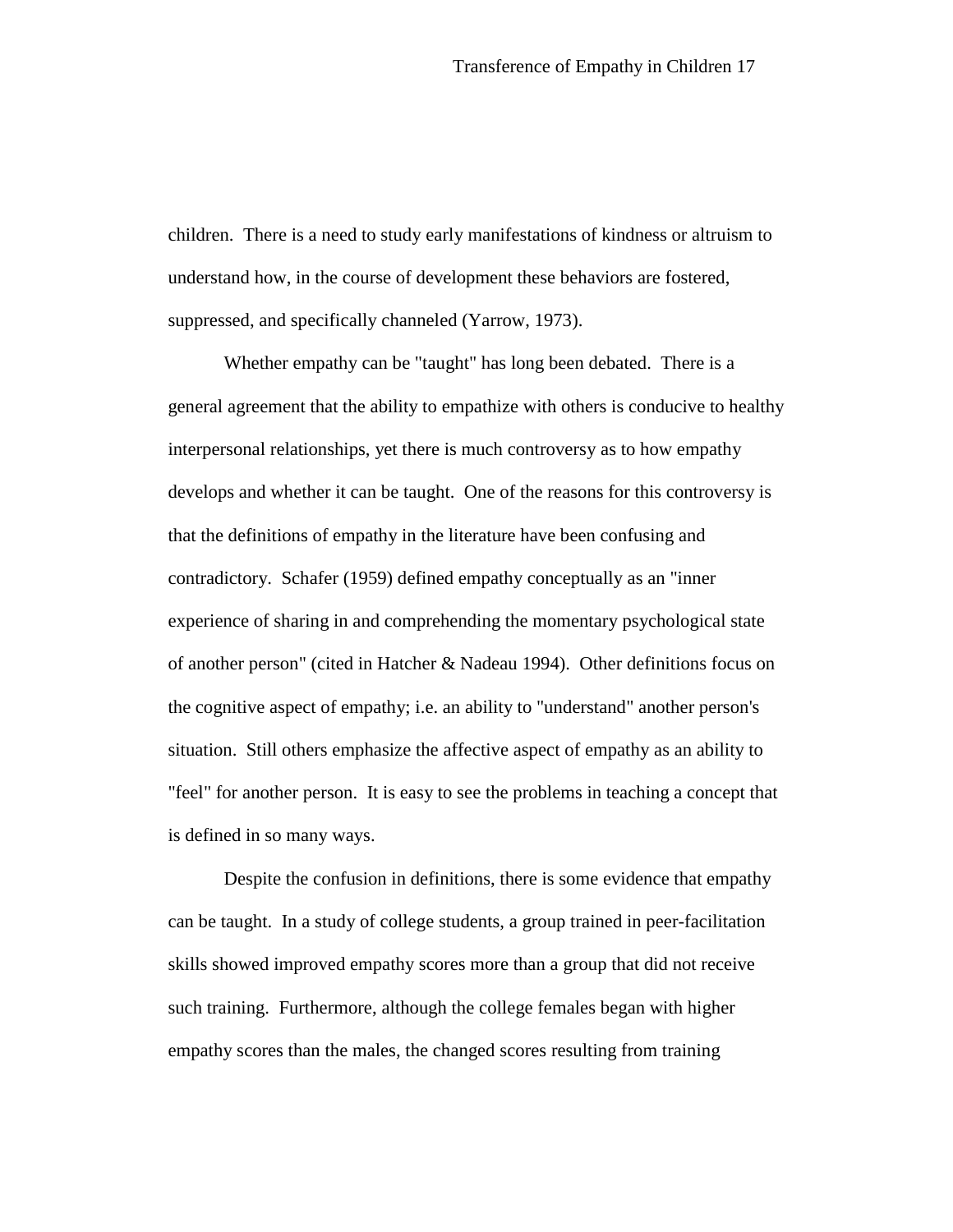children. There is a need to study early manifestations of kindness or altruism to understand how, in the course of development these behaviors are fostered, suppressed, and specifically channeled (Yarrow, 1973).

Whether empathy can be "taught" has long been debated. There is a general agreement that the ability to empathize with others is conducive to healthy interpersonal relationships, yet there is much controversy as to how empathy develops and whether it can be taught. One of the reasons for this controversy is that the definitions of empathy in the literature have been confusing and contradictory. Schafer (1959) defined empathy conceptually as an "inner experience of sharing in and comprehending the momentary psychological state of another person" (cited in Hatcher & Nadeau 1994). Other definitions focus on the cognitive aspect of empathy; i.e. an ability to "understand" another person's situation. Still others emphasize the affective aspect of empathy as an ability to "feel" for another person. It is easy to see the problems in teaching a concept that is defined in so many ways.

Despite the confusion in definitions, there is some evidence that empathy can be taught. In a study of college students, a group trained in peer-facilitation skills showed improved empathy scores more than a group that did not receive such training. Furthermore, although the college females began with higher empathy scores than the males, the changed scores resulting from training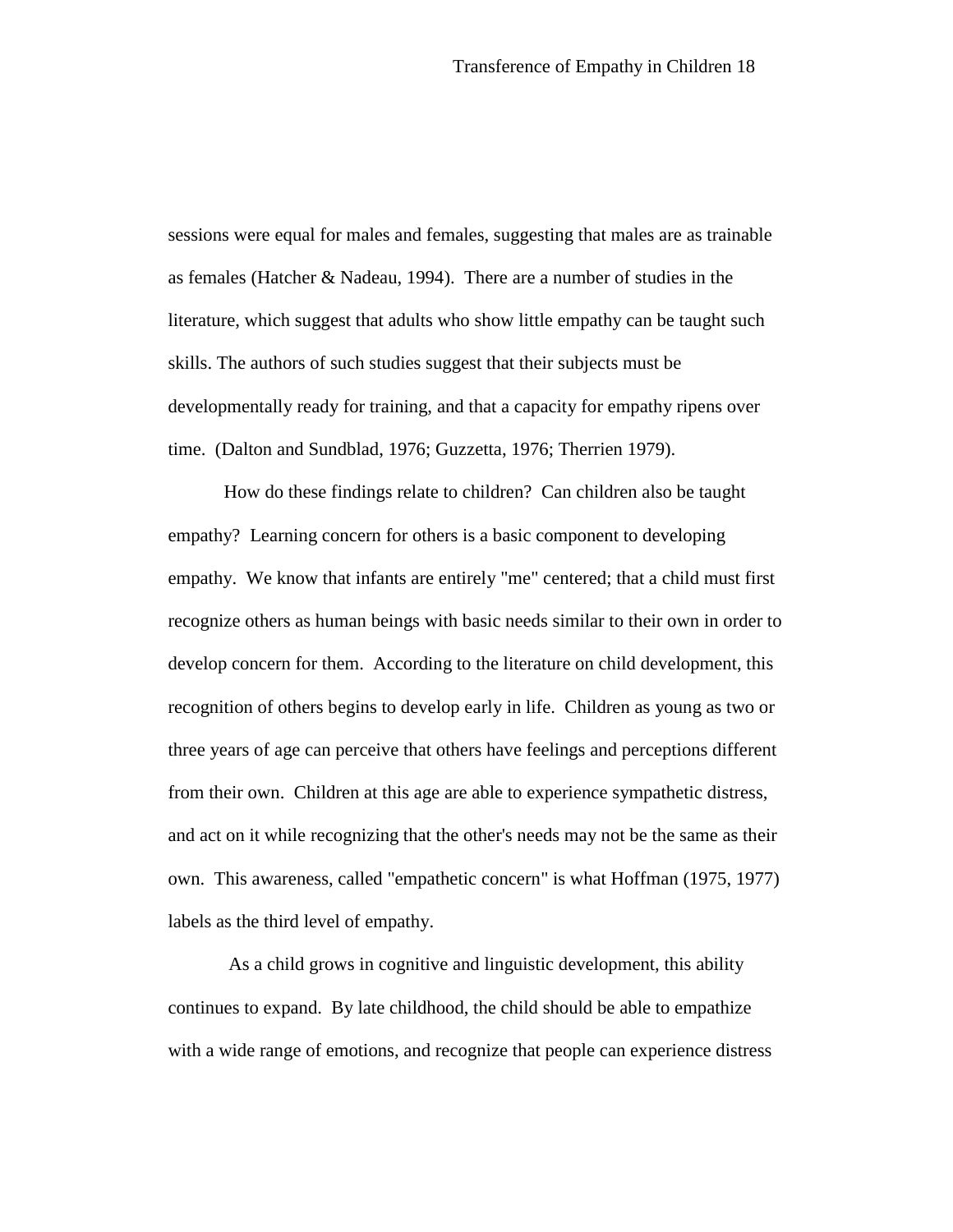sessions were equal for males and females, suggesting that males are as trainable as females (Hatcher & Nadeau, 1994). There are a number of studies in the literature, which suggest that adults who show little empathy can be taught such skills. The authors of such studies suggest that their subjects must be developmentally ready for training, and that a capacity for empathy ripens over time. (Dalton and Sundblad, 1976; Guzzetta, 1976; Therrien 1979).

How do these findings relate to children? Can children also be taught empathy? Learning concern for others is a basic component to developing empathy. We know that infants are entirely "me" centered; that a child must first recognize others as human beings with basic needs similar to their own in order to develop concern for them. According to the literature on child development, this recognition of others begins to develop early in life. Children as young as two or three years of age can perceive that others have feelings and perceptions different from their own. Children at this age are able to experience sympathetic distress, and act on it while recognizing that the other's needs may not be the same as their own. This awareness, called "empathetic concern" is what Hoffman (1975, 1977) labels as the third level of empathy.

 As a child grows in cognitive and linguistic development, this ability continues to expand. By late childhood, the child should be able to empathize with a wide range of emotions, and recognize that people can experience distress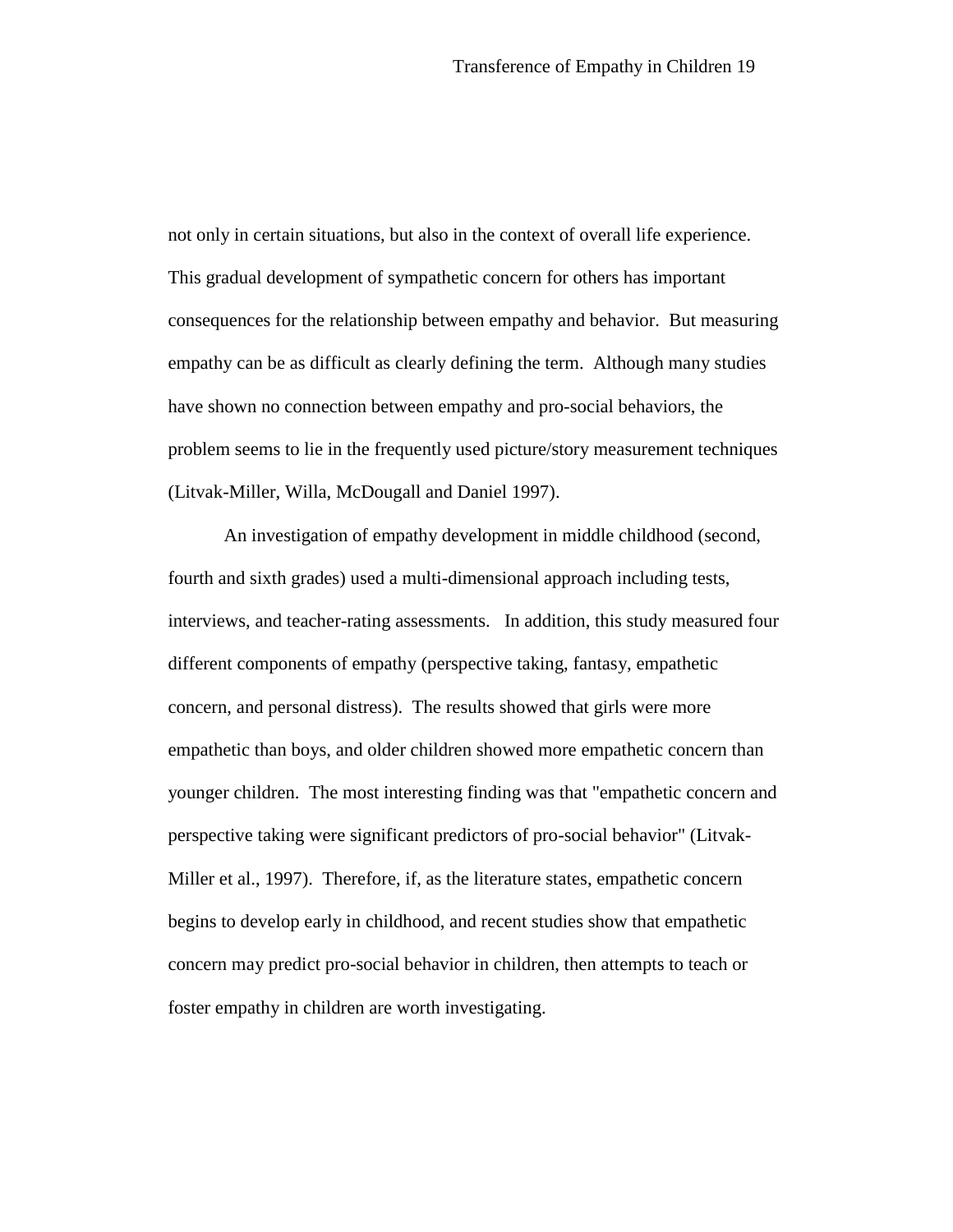not only in certain situations, but also in the context of overall life experience. This gradual development of sympathetic concern for others has important consequences for the relationship between empathy and behavior. But measuring empathy can be as difficult as clearly defining the term. Although many studies have shown no connection between empathy and pro-social behaviors, the problem seems to lie in the frequently used picture/story measurement techniques (Litvak-Miller, Willa, McDougall and Daniel 1997).

An investigation of empathy development in middle childhood (second, fourth and sixth grades) used a multi-dimensional approach including tests, interviews, and teacher-rating assessments. In addition, this study measured four different components of empathy (perspective taking, fantasy, empathetic concern, and personal distress). The results showed that girls were more empathetic than boys, and older children showed more empathetic concern than younger children. The most interesting finding was that "empathetic concern and perspective taking were significant predictors of pro-social behavior" (Litvak-Miller et al., 1997). Therefore, if, as the literature states, empathetic concern begins to develop early in childhood, and recent studies show that empathetic concern may predict pro-social behavior in children, then attempts to teach or foster empathy in children are worth investigating.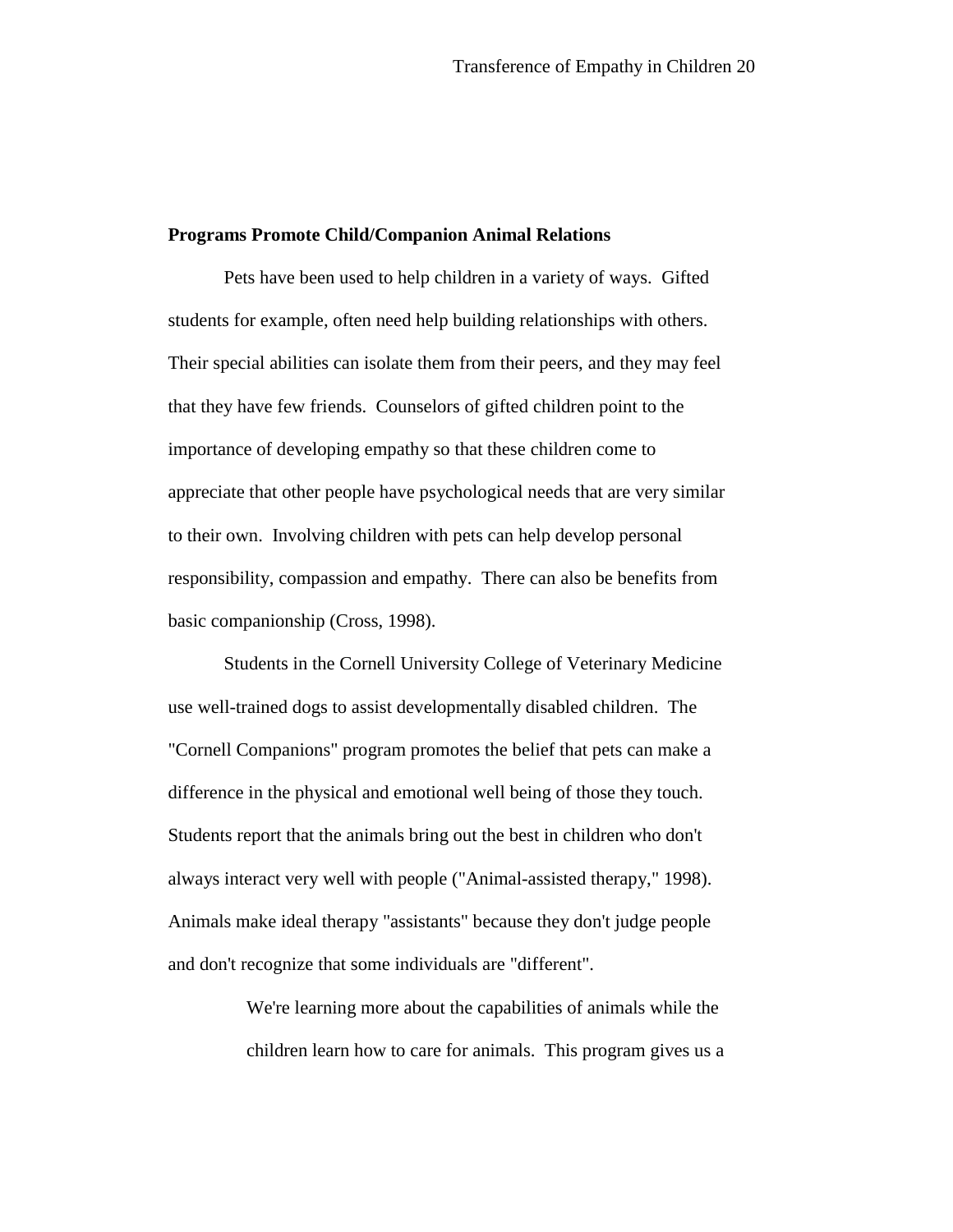## **Programs Promote Child/Companion Animal Relations**

Pets have been used to help children in a variety of ways. Gifted students for example, often need help building relationships with others. Their special abilities can isolate them from their peers, and they may feel that they have few friends. Counselors of gifted children point to the importance of developing empathy so that these children come to appreciate that other people have psychological needs that are very similar to their own. Involving children with pets can help develop personal responsibility, compassion and empathy. There can also be benefits from basic companionship (Cross, 1998).

Students in the Cornell University College of Veterinary Medicine use well-trained dogs to assist developmentally disabled children. The "Cornell Companions" program promotes the belief that pets can make a difference in the physical and emotional well being of those they touch. Students report that the animals bring out the best in children who don't always interact very well with people ("Animal-assisted therapy," 1998). Animals make ideal therapy "assistants" because they don't judge people and don't recognize that some individuals are "different".

> We're learning more about the capabilities of animals while the children learn how to care for animals. This program gives us a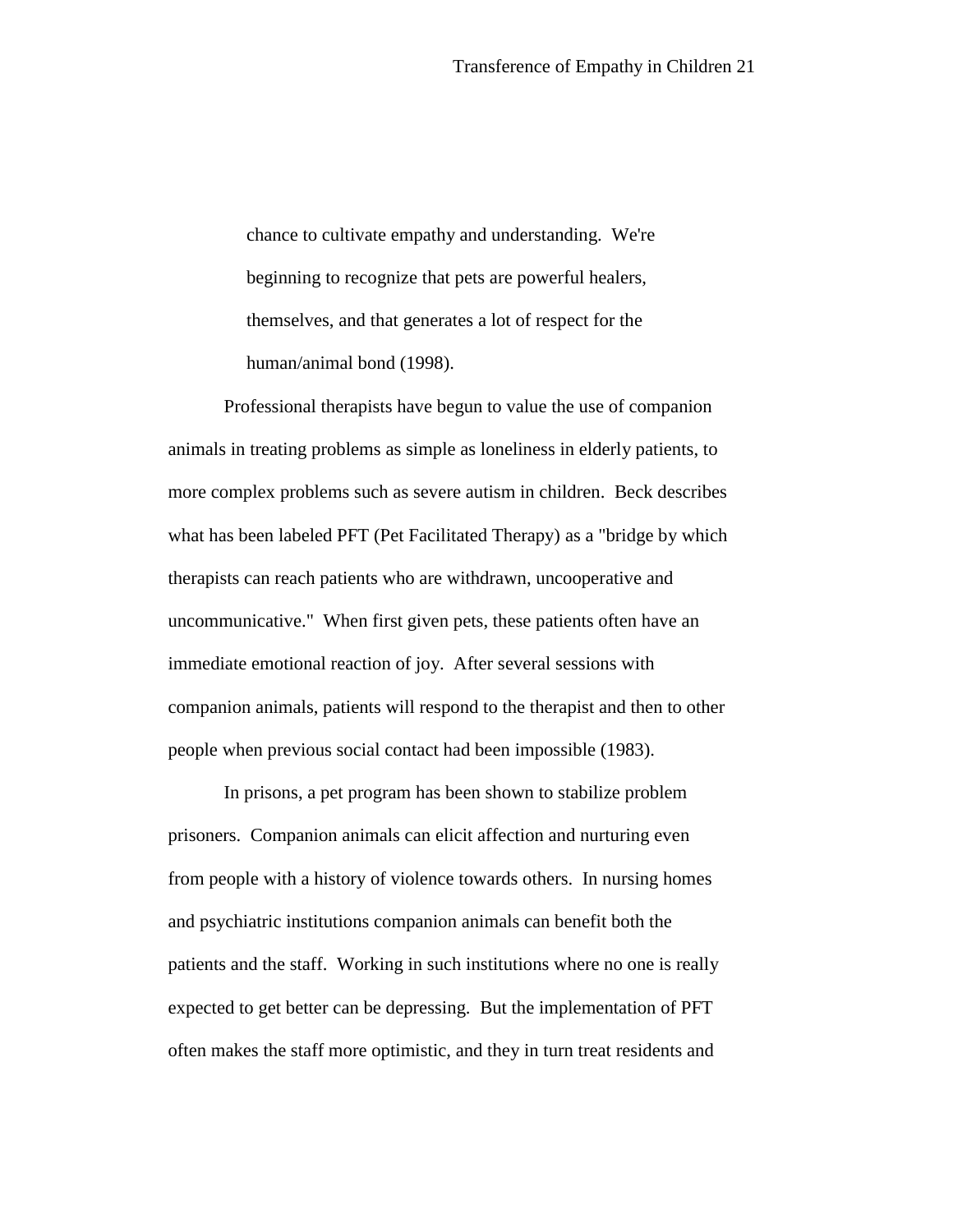chance to cultivate empathy and understanding. We're beginning to recognize that pets are powerful healers, themselves, and that generates a lot of respect for the human/animal bond (1998).

Professional therapists have begun to value the use of companion animals in treating problems as simple as loneliness in elderly patients, to more complex problems such as severe autism in children. Beck describes what has been labeled PFT (Pet Facilitated Therapy) as a "bridge by which therapists can reach patients who are withdrawn, uncooperative and uncommunicative." When first given pets, these patients often have an immediate emotional reaction of joy. After several sessions with companion animals, patients will respond to the therapist and then to other people when previous social contact had been impossible (1983).

In prisons, a pet program has been shown to stabilize problem prisoners. Companion animals can elicit affection and nurturing even from people with a history of violence towards others. In nursing homes and psychiatric institutions companion animals can benefit both the patients and the staff. Working in such institutions where no one is really expected to get better can be depressing. But the implementation of PFT often makes the staff more optimistic, and they in turn treat residents and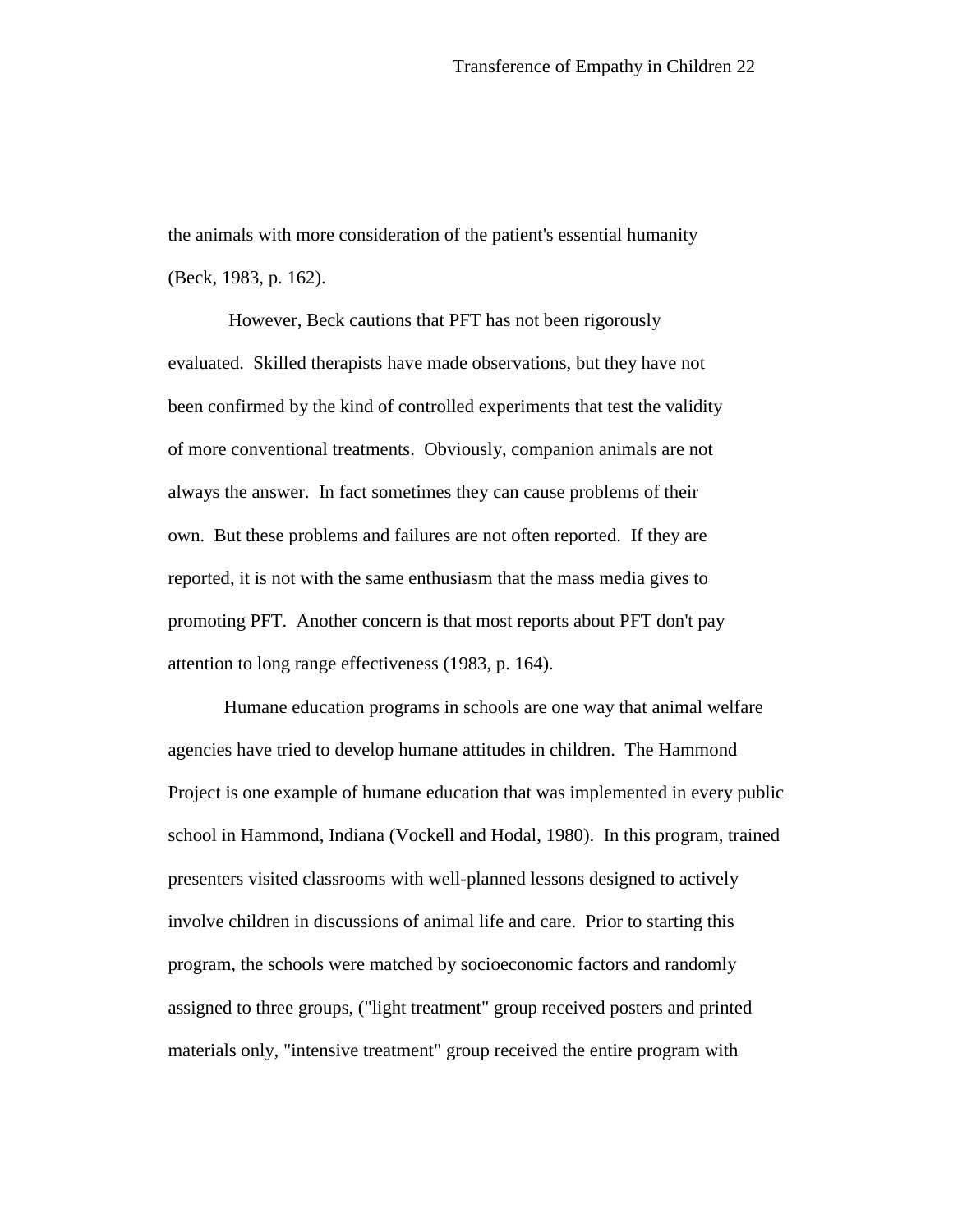the animals with more consideration of the patient's essential humanity (Beck, 1983, p. 162).

 However, Beck cautions that PFT has not been rigorously evaluated. Skilled therapists have made observations, but they have not been confirmed by the kind of controlled experiments that test the validity of more conventional treatments. Obviously, companion animals are not always the answer. In fact sometimes they can cause problems of their own. But these problems and failures are not often reported. If they are reported, it is not with the same enthusiasm that the mass media gives to promoting PFT. Another concern is that most reports about PFT don't pay attention to long range effectiveness (1983, p. 164).

Humane education programs in schools are one way that animal welfare agencies have tried to develop humane attitudes in children. The Hammond Project is one example of humane education that was implemented in every public school in Hammond, Indiana (Vockell and Hodal, 1980). In this program, trained presenters visited classrooms with well-planned lessons designed to actively involve children in discussions of animal life and care. Prior to starting this program, the schools were matched by socioeconomic factors and randomly assigned to three groups, ("light treatment" group received posters and printed materials only, "intensive treatment" group received the entire program with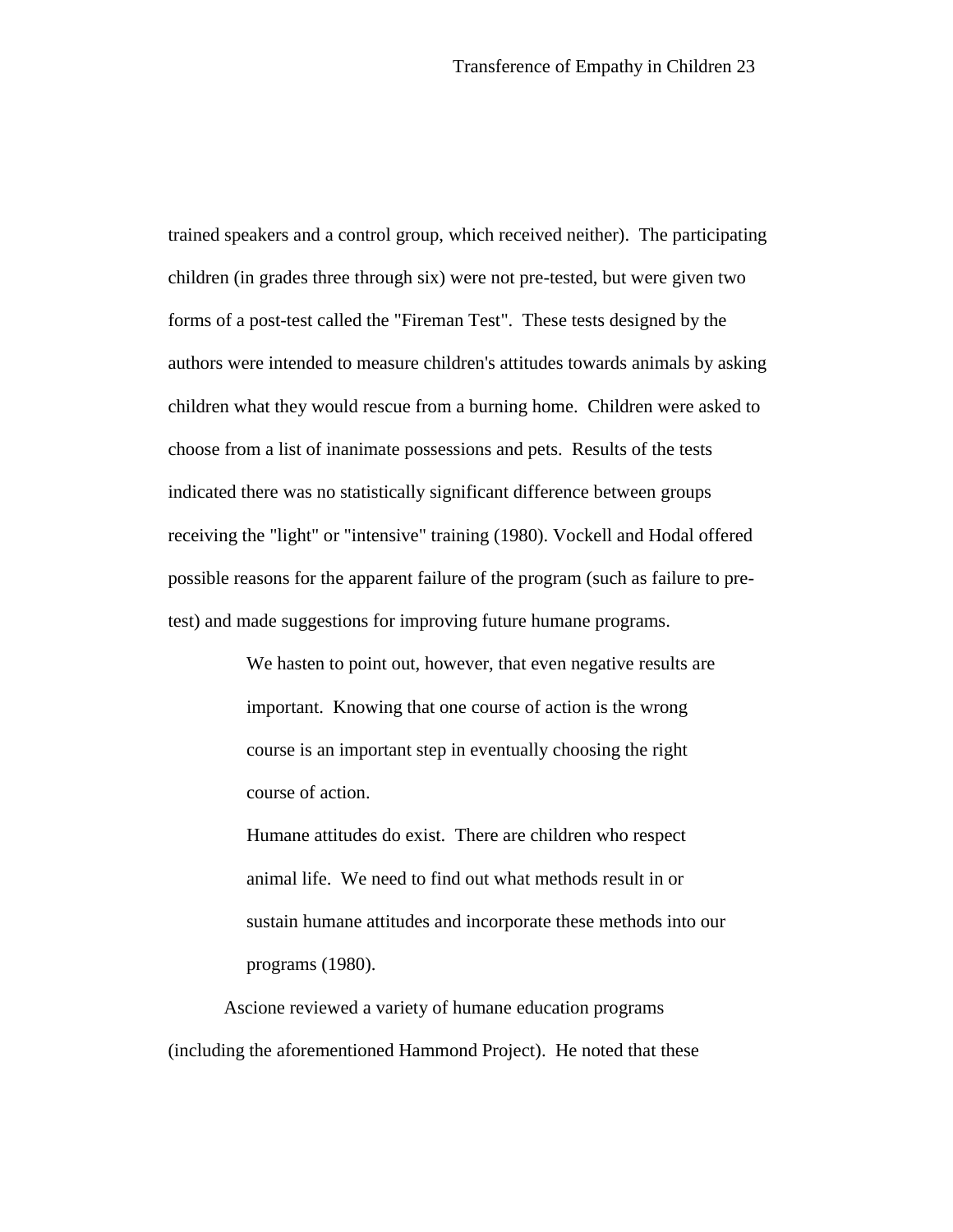trained speakers and a control group, which received neither). The participating children (in grades three through six) were not pre-tested, but were given two forms of a post-test called the "Fireman Test". These tests designed by the authors were intended to measure children's attitudes towards animals by asking children what they would rescue from a burning home. Children were asked to choose from a list of inanimate possessions and pets. Results of the tests indicated there was no statistically significant difference between groups receiving the "light" or "intensive" training (1980). Vockell and Hodal offered possible reasons for the apparent failure of the program (such as failure to pretest) and made suggestions for improving future humane programs.

> We hasten to point out, however, that even negative results are important. Knowing that one course of action is the wrong course is an important step in eventually choosing the right course of action.

Humane attitudes do exist. There are children who respect animal life. We need to find out what methods result in or sustain humane attitudes and incorporate these methods into our programs (1980).

 Ascione reviewed a variety of humane education programs (including the aforementioned Hammond Project). He noted that these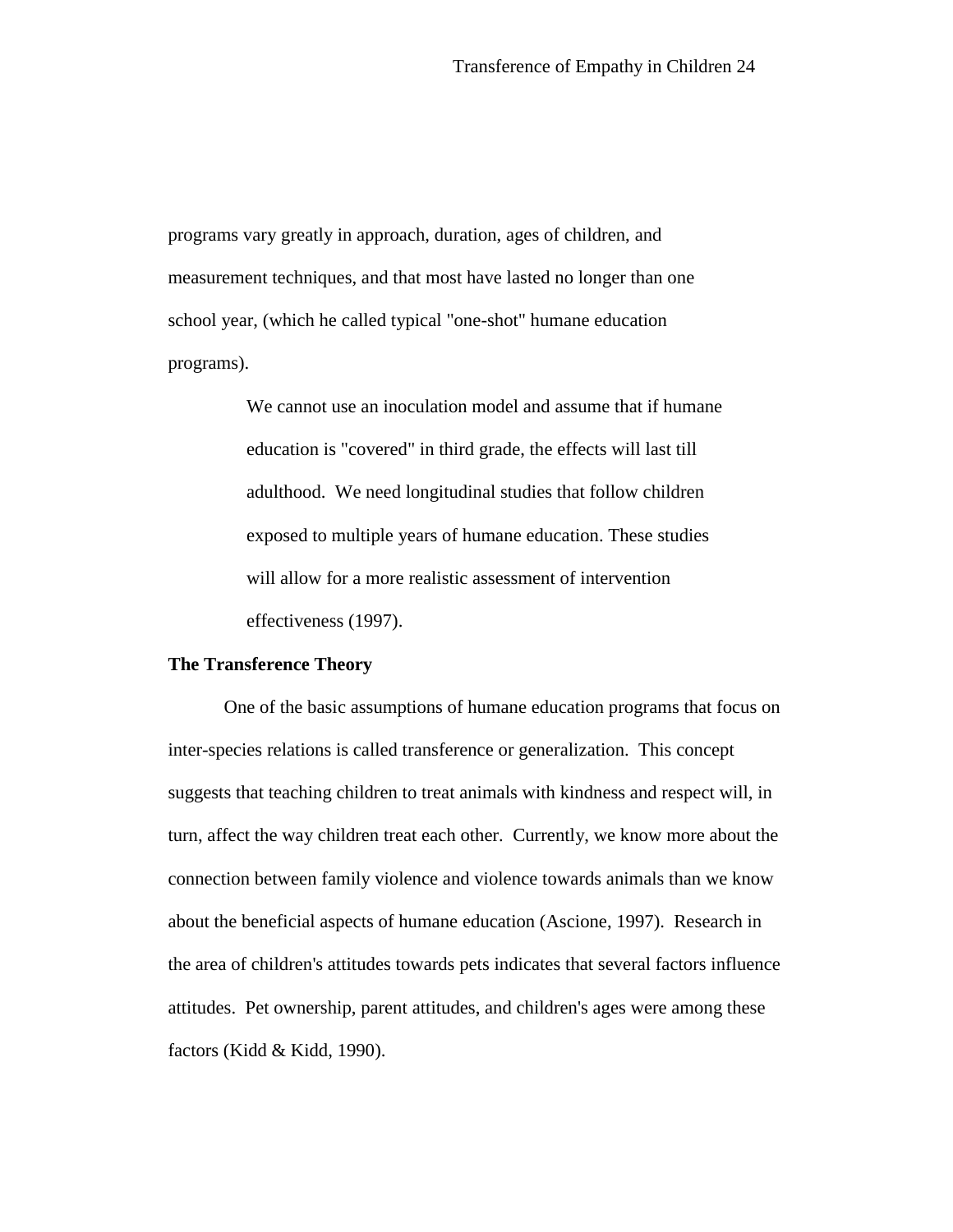programs vary greatly in approach, duration, ages of children, and measurement techniques, and that most have lasted no longer than one school year, (which he called typical "one-shot" humane education programs).

> We cannot use an inoculation model and assume that if humane education is "covered" in third grade, the effects will last till adulthood. We need longitudinal studies that follow children exposed to multiple years of humane education. These studies will allow for a more realistic assessment of intervention effectiveness (1997).

#### **The Transference Theory**

One of the basic assumptions of humane education programs that focus on inter-species relations is called transference or generalization. This concept suggests that teaching children to treat animals with kindness and respect will, in turn, affect the way children treat each other. Currently, we know more about the connection between family violence and violence towards animals than we know about the beneficial aspects of humane education (Ascione, 1997). Research in the area of children's attitudes towards pets indicates that several factors influence attitudes. Pet ownership, parent attitudes, and children's ages were among these factors (Kidd & Kidd, 1990).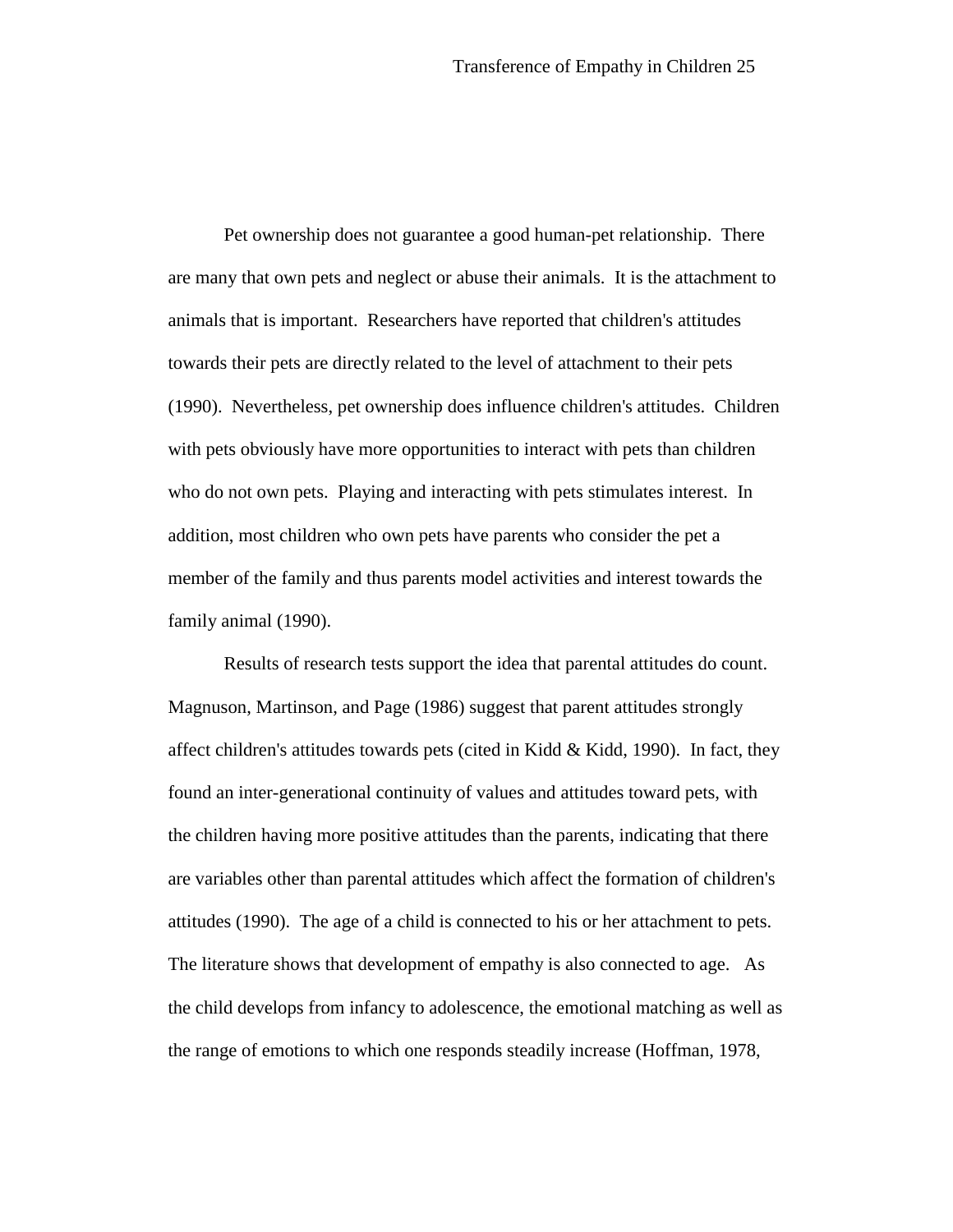Pet ownership does not guarantee a good human-pet relationship. There are many that own pets and neglect or abuse their animals. It is the attachment to animals that is important. Researchers have reported that children's attitudes towards their pets are directly related to the level of attachment to their pets (1990). Nevertheless, pet ownership does influence children's attitudes. Children with pets obviously have more opportunities to interact with pets than children who do not own pets. Playing and interacting with pets stimulates interest. In addition, most children who own pets have parents who consider the pet a member of the family and thus parents model activities and interest towards the family animal (1990).

Results of research tests support the idea that parental attitudes do count. Magnuson, Martinson, and Page (1986) suggest that parent attitudes strongly affect children's attitudes towards pets (cited in Kidd  $\&$  Kidd, 1990). In fact, they found an inter-generational continuity of values and attitudes toward pets, with the children having more positive attitudes than the parents, indicating that there are variables other than parental attitudes which affect the formation of children's attitudes (1990). The age of a child is connected to his or her attachment to pets. The literature shows that development of empathy is also connected to age. As the child develops from infancy to adolescence, the emotional matching as well as the range of emotions to which one responds steadily increase (Hoffman, 1978,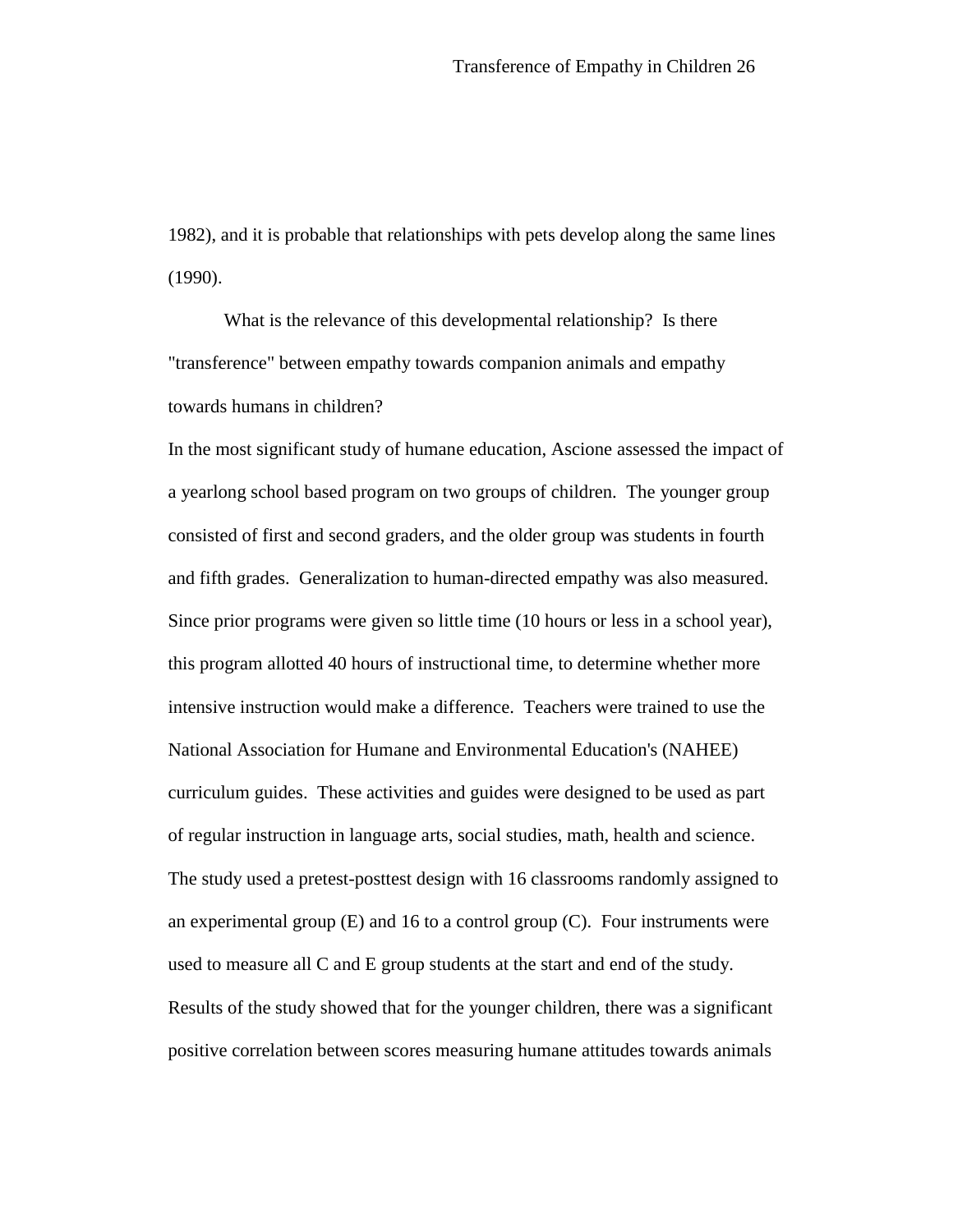1982), and it is probable that relationships with pets develop along the same lines (1990).

What is the relevance of this developmental relationship? Is there "transference" between empathy towards companion animals and empathy towards humans in children?

In the most significant study of humane education, Ascione assessed the impact of a yearlong school based program on two groups of children. The younger group consisted of first and second graders, and the older group was students in fourth and fifth grades. Generalization to human-directed empathy was also measured. Since prior programs were given so little time (10 hours or less in a school year), this program allotted 40 hours of instructional time, to determine whether more intensive instruction would make a difference. Teachers were trained to use the National Association for Humane and Environmental Education's (NAHEE) curriculum guides. These activities and guides were designed to be used as part of regular instruction in language arts, social studies, math, health and science. The study used a pretest-posttest design with 16 classrooms randomly assigned to an experimental group  $(E)$  and 16 to a control group  $(C)$ . Four instruments were used to measure all C and E group students at the start and end of the study. Results of the study showed that for the younger children, there was a significant positive correlation between scores measuring humane attitudes towards animals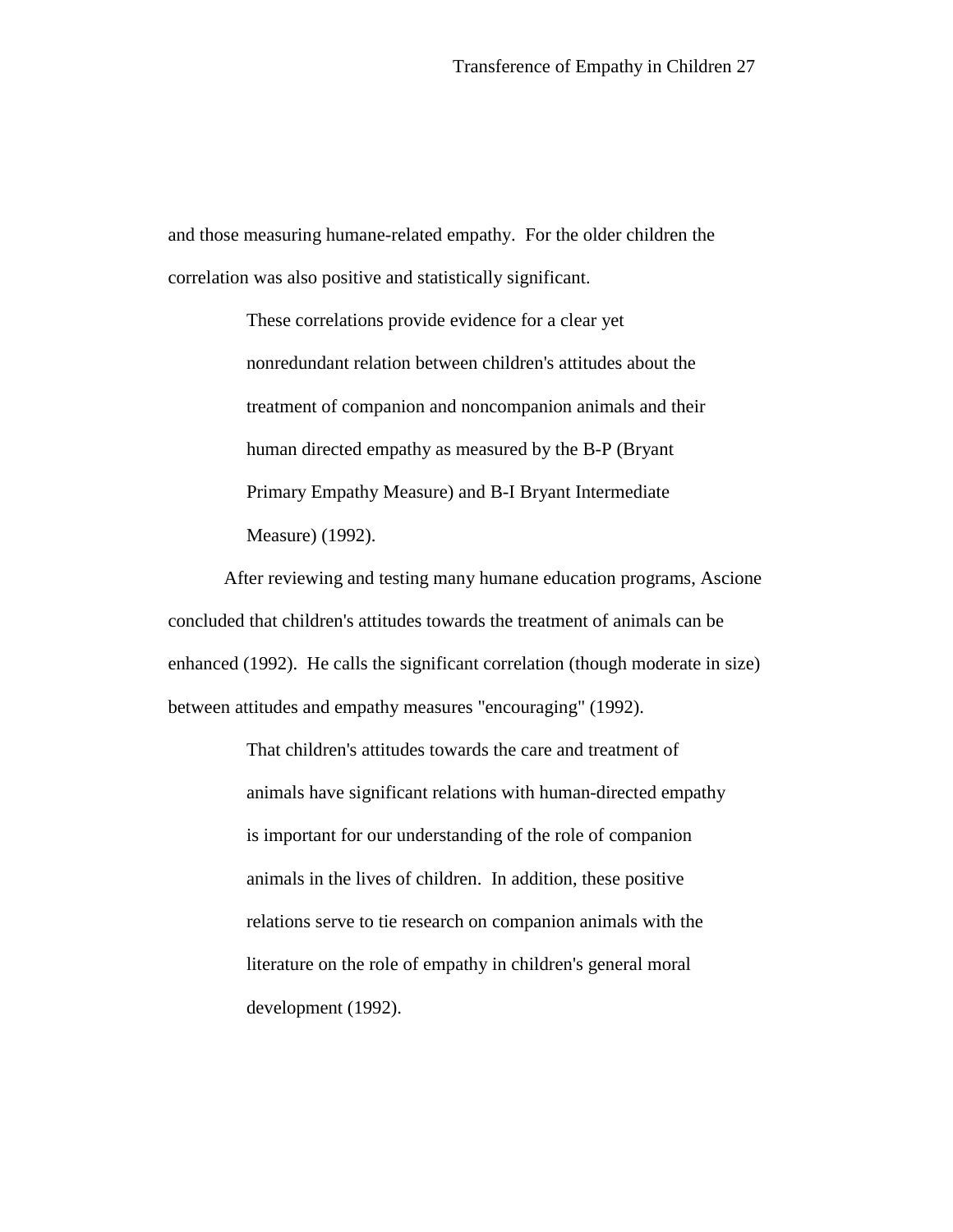and those measuring humane-related empathy. For the older children the correlation was also positive and statistically significant.

> These correlations provide evidence for a clear yet nonredundant relation between children's attitudes about the treatment of companion and noncompanion animals and their human directed empathy as measured by the B-P (Bryant Primary Empathy Measure) and B-I Bryant Intermediate Measure) (1992).

After reviewing and testing many humane education programs, Ascione concluded that children's attitudes towards the treatment of animals can be enhanced (1992). He calls the significant correlation (though moderate in size) between attitudes and empathy measures "encouraging" (1992).

> That children's attitudes towards the care and treatment of animals have significant relations with human-directed empathy is important for our understanding of the role of companion animals in the lives of children. In addition, these positive relations serve to tie research on companion animals with the literature on the role of empathy in children's general moral development (1992).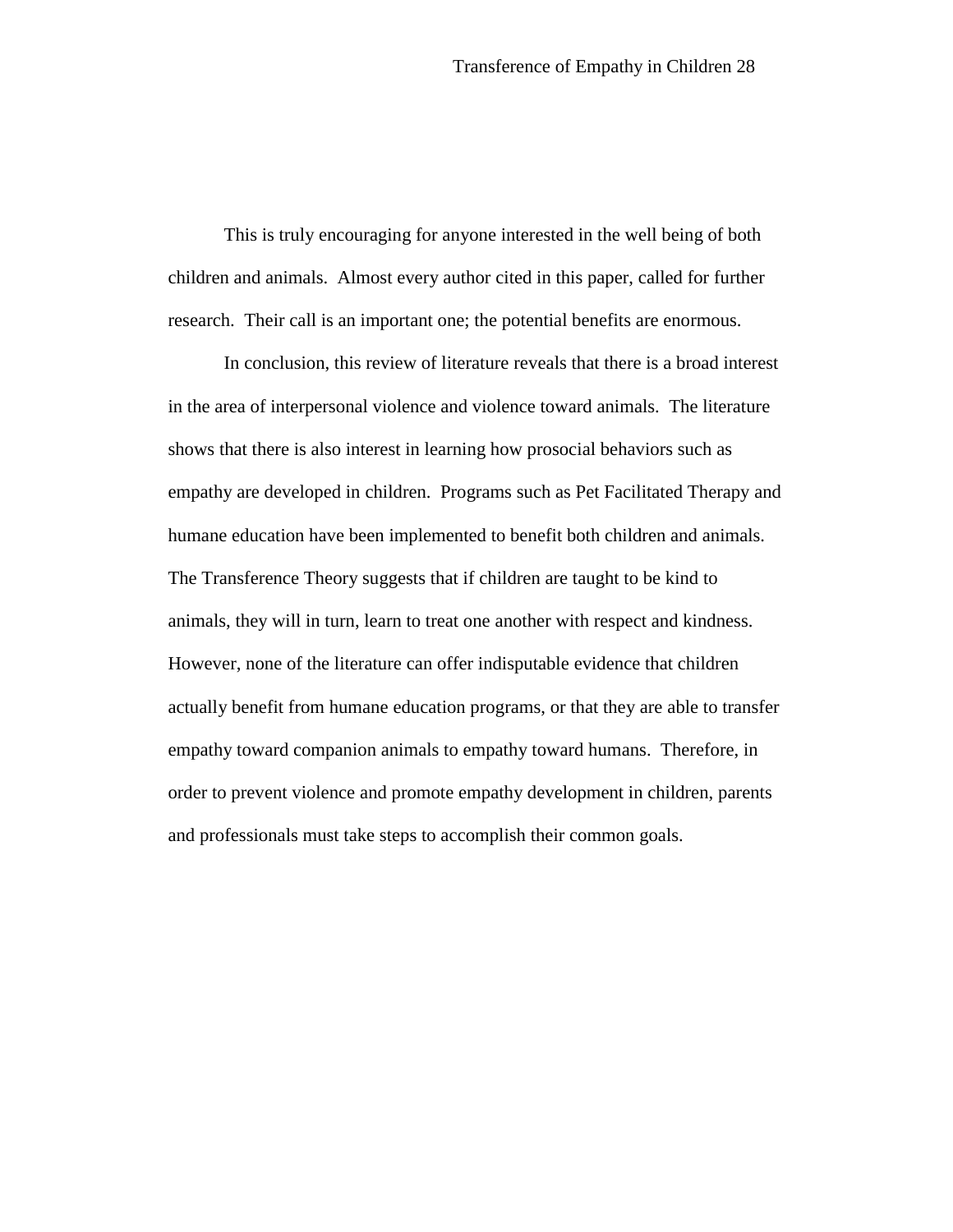This is truly encouraging for anyone interested in the well being of both children and animals. Almost every author cited in this paper, called for further research. Their call is an important one; the potential benefits are enormous.

In conclusion, this review of literature reveals that there is a broad interest in the area of interpersonal violence and violence toward animals. The literature shows that there is also interest in learning how prosocial behaviors such as empathy are developed in children. Programs such as Pet Facilitated Therapy and humane education have been implemented to benefit both children and animals. The Transference Theory suggests that if children are taught to be kind to animals, they will in turn, learn to treat one another with respect and kindness. However, none of the literature can offer indisputable evidence that children actually benefit from humane education programs, or that they are able to transfer empathy toward companion animals to empathy toward humans. Therefore, in order to prevent violence and promote empathy development in children, parents and professionals must take steps to accomplish their common goals.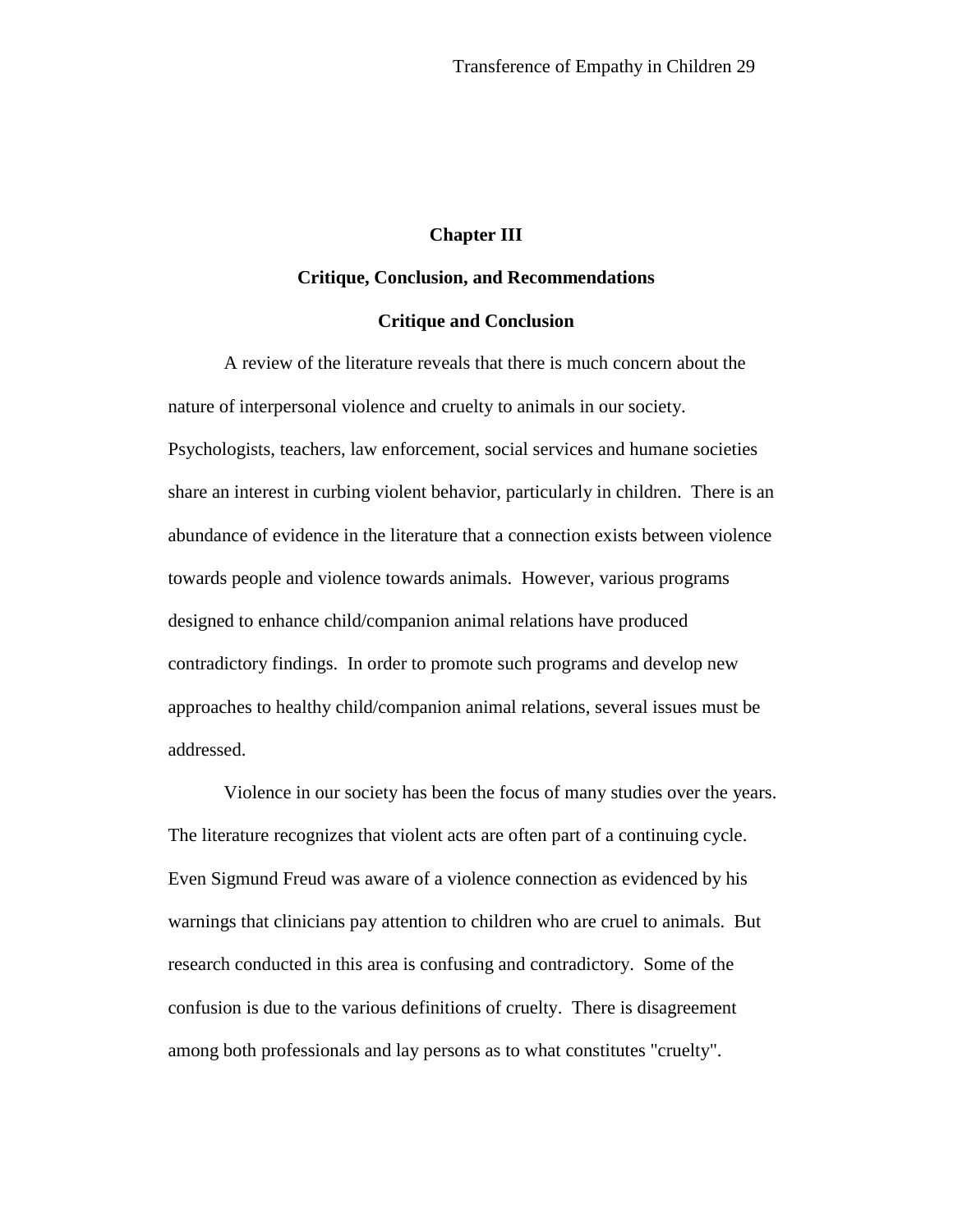## **Chapter III**

## **Critique, Conclusion, and Recommendations**

## **Critique and Conclusion**

A review of the literature reveals that there is much concern about the nature of interpersonal violence and cruelty to animals in our society. Psychologists, teachers, law enforcement, social services and humane societies share an interest in curbing violent behavior, particularly in children. There is an abundance of evidence in the literature that a connection exists between violence towards people and violence towards animals. However, various programs designed to enhance child/companion animal relations have produced contradictory findings. In order to promote such programs and develop new approaches to healthy child/companion animal relations, several issues must be addressed.

Violence in our society has been the focus of many studies over the years. The literature recognizes that violent acts are often part of a continuing cycle. Even Sigmund Freud was aware of a violence connection as evidenced by his warnings that clinicians pay attention to children who are cruel to animals. But research conducted in this area is confusing and contradictory. Some of the confusion is due to the various definitions of cruelty. There is disagreement among both professionals and lay persons as to what constitutes "cruelty".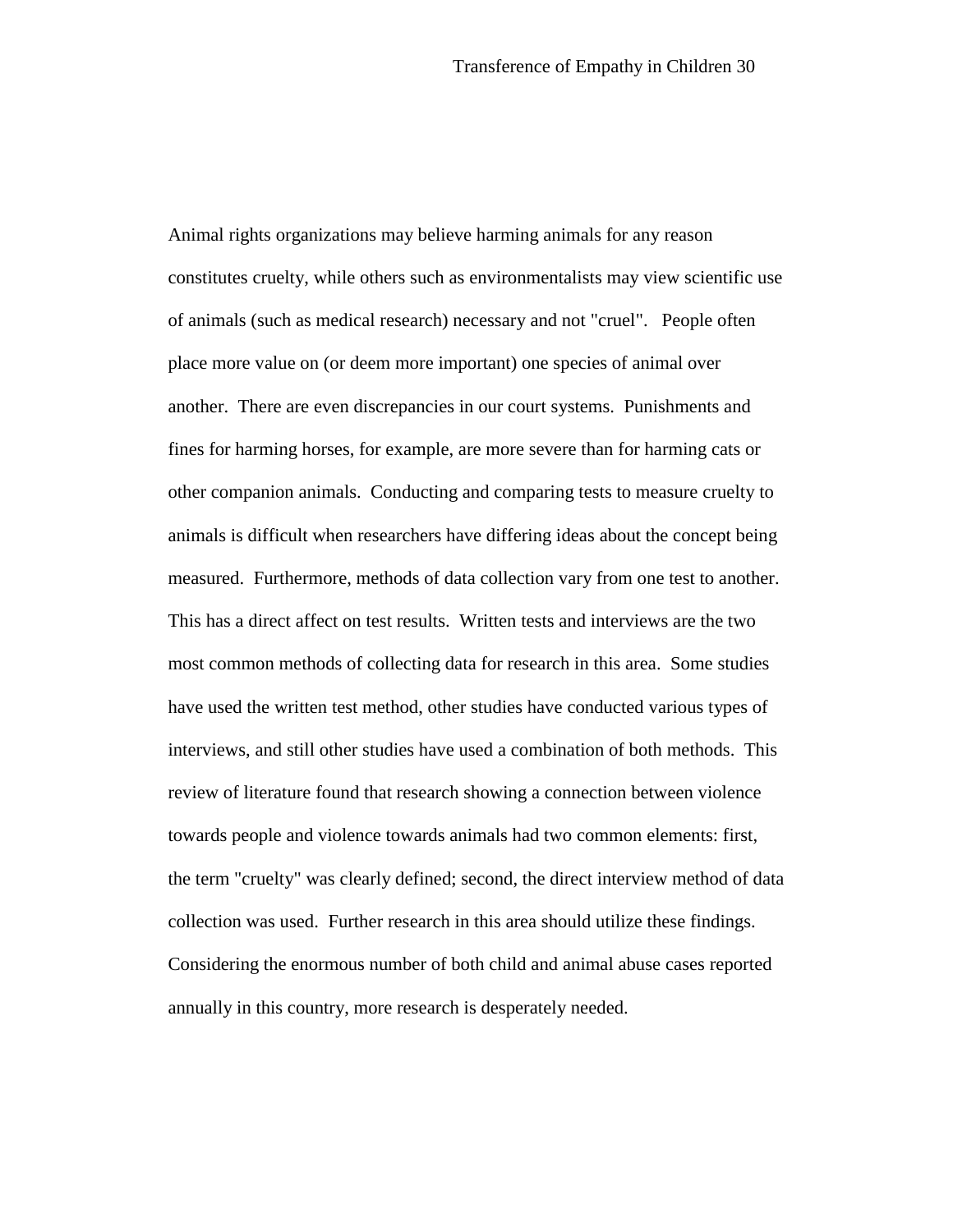Animal rights organizations may believe harming animals for any reason constitutes cruelty, while others such as environmentalists may view scientific use of animals (such as medical research) necessary and not "cruel". People often place more value on (or deem more important) one species of animal over another. There are even discrepancies in our court systems. Punishments and fines for harming horses, for example, are more severe than for harming cats or other companion animals. Conducting and comparing tests to measure cruelty to animals is difficult when researchers have differing ideas about the concept being measured. Furthermore, methods of data collection vary from one test to another. This has a direct affect on test results. Written tests and interviews are the two most common methods of collecting data for research in this area. Some studies have used the written test method, other studies have conducted various types of interviews, and still other studies have used a combination of both methods. This review of literature found that research showing a connection between violence towards people and violence towards animals had two common elements: first, the term "cruelty" was clearly defined; second, the direct interview method of data collection was used. Further research in this area should utilize these findings. Considering the enormous number of both child and animal abuse cases reported annually in this country, more research is desperately needed.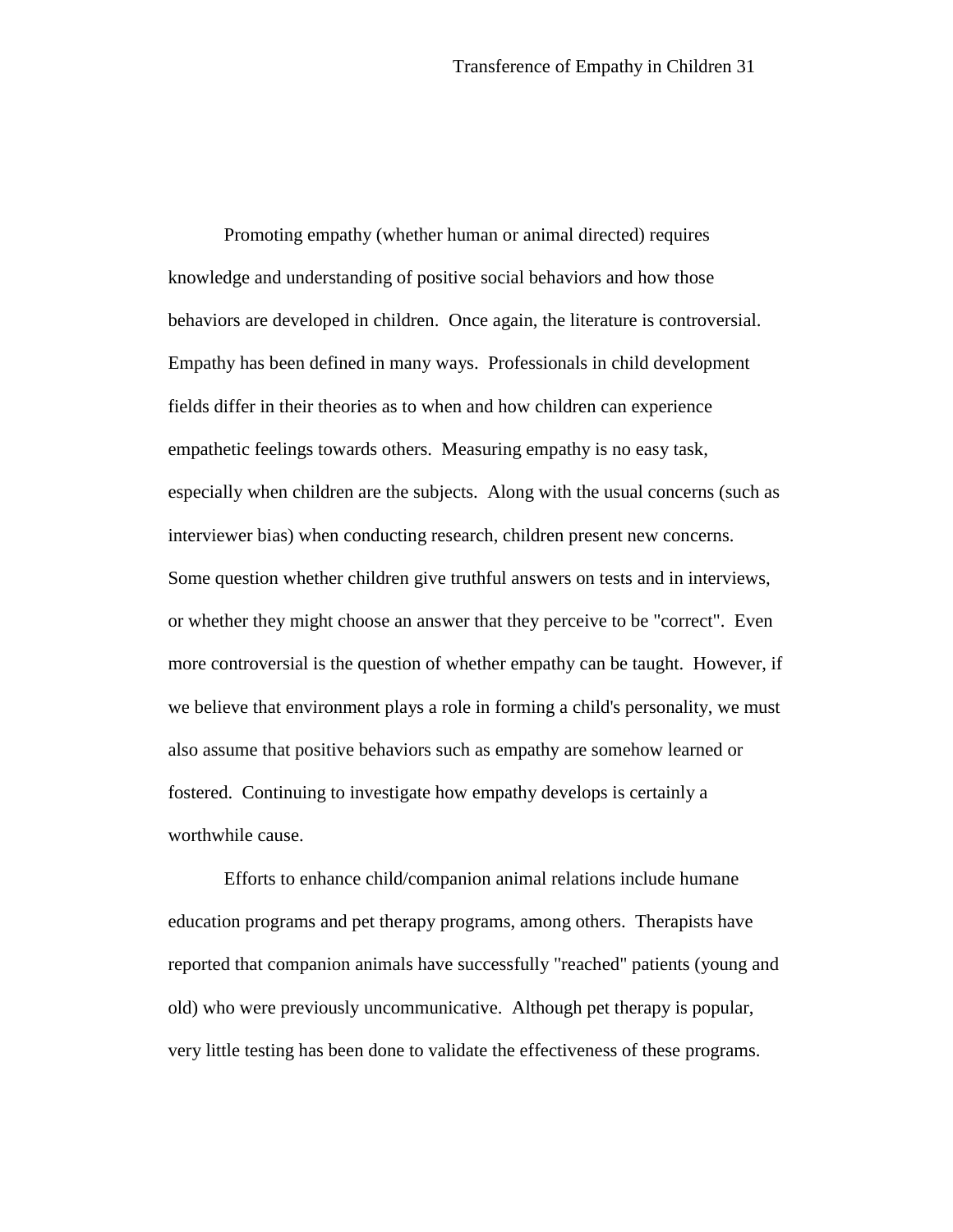Promoting empathy (whether human or animal directed) requires knowledge and understanding of positive social behaviors and how those behaviors are developed in children. Once again, the literature is controversial. Empathy has been defined in many ways. Professionals in child development fields differ in their theories as to when and how children can experience empathetic feelings towards others. Measuring empathy is no easy task, especially when children are the subjects. Along with the usual concerns (such as interviewer bias) when conducting research, children present new concerns. Some question whether children give truthful answers on tests and in interviews, or whether they might choose an answer that they perceive to be "correct". Even more controversial is the question of whether empathy can be taught. However, if we believe that environment plays a role in forming a child's personality, we must also assume that positive behaviors such as empathy are somehow learned or fostered. Continuing to investigate how empathy develops is certainly a worthwhile cause.

Efforts to enhance child/companion animal relations include humane education programs and pet therapy programs, among others. Therapists have reported that companion animals have successfully "reached" patients (young and old) who were previously uncommunicative. Although pet therapy is popular, very little testing has been done to validate the effectiveness of these programs.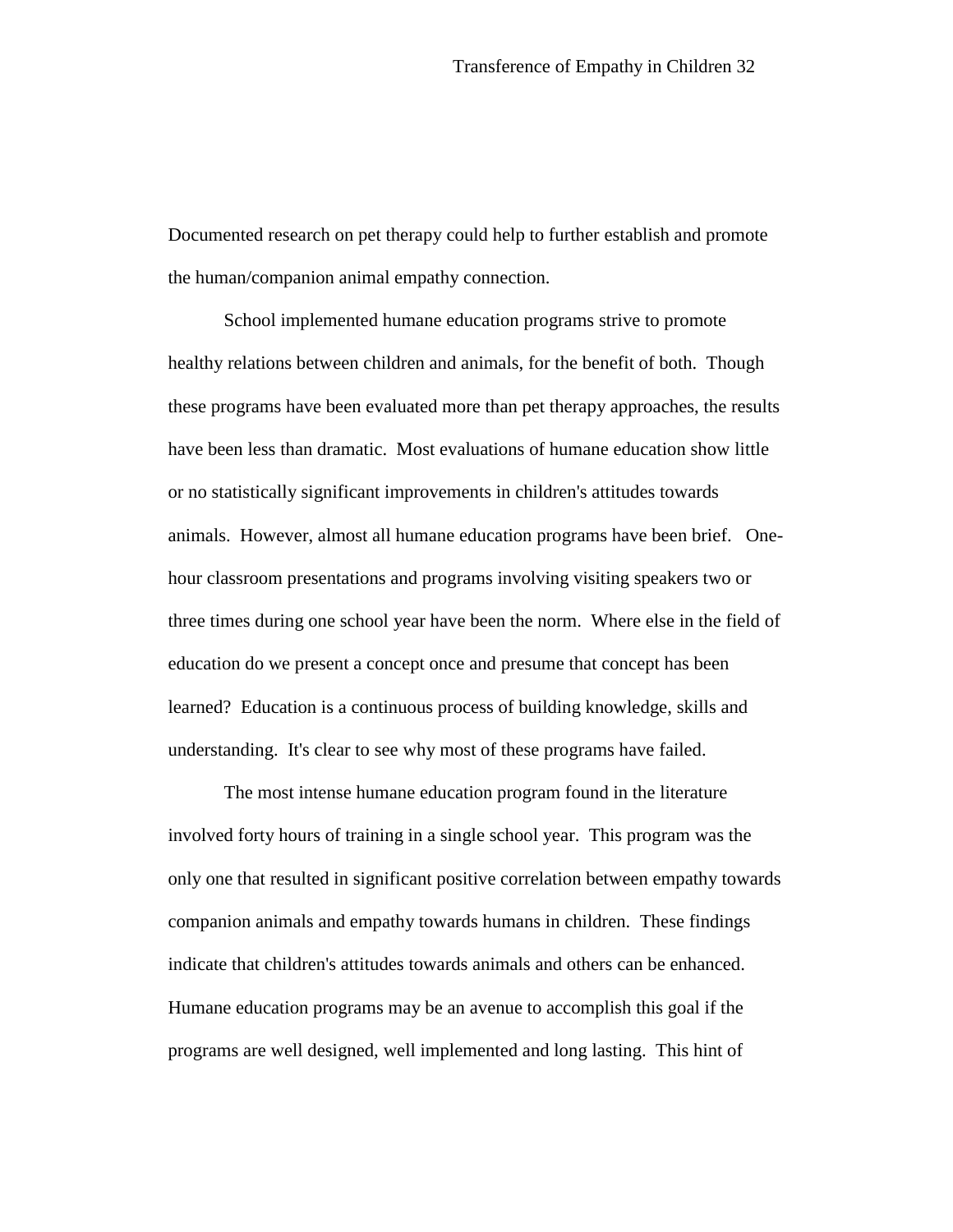Documented research on pet therapy could help to further establish and promote the human/companion animal empathy connection.

School implemented humane education programs strive to promote healthy relations between children and animals, for the benefit of both. Though these programs have been evaluated more than pet therapy approaches, the results have been less than dramatic. Most evaluations of humane education show little or no statistically significant improvements in children's attitudes towards animals. However, almost all humane education programs have been brief. Onehour classroom presentations and programs involving visiting speakers two or three times during one school year have been the norm. Where else in the field of education do we present a concept once and presume that concept has been learned? Education is a continuous process of building knowledge, skills and understanding. It's clear to see why most of these programs have failed.

The most intense humane education program found in the literature involved forty hours of training in a single school year. This program was the only one that resulted in significant positive correlation between empathy towards companion animals and empathy towards humans in children. These findings indicate that children's attitudes towards animals and others can be enhanced. Humane education programs may be an avenue to accomplish this goal if the programs are well designed, well implemented and long lasting. This hint of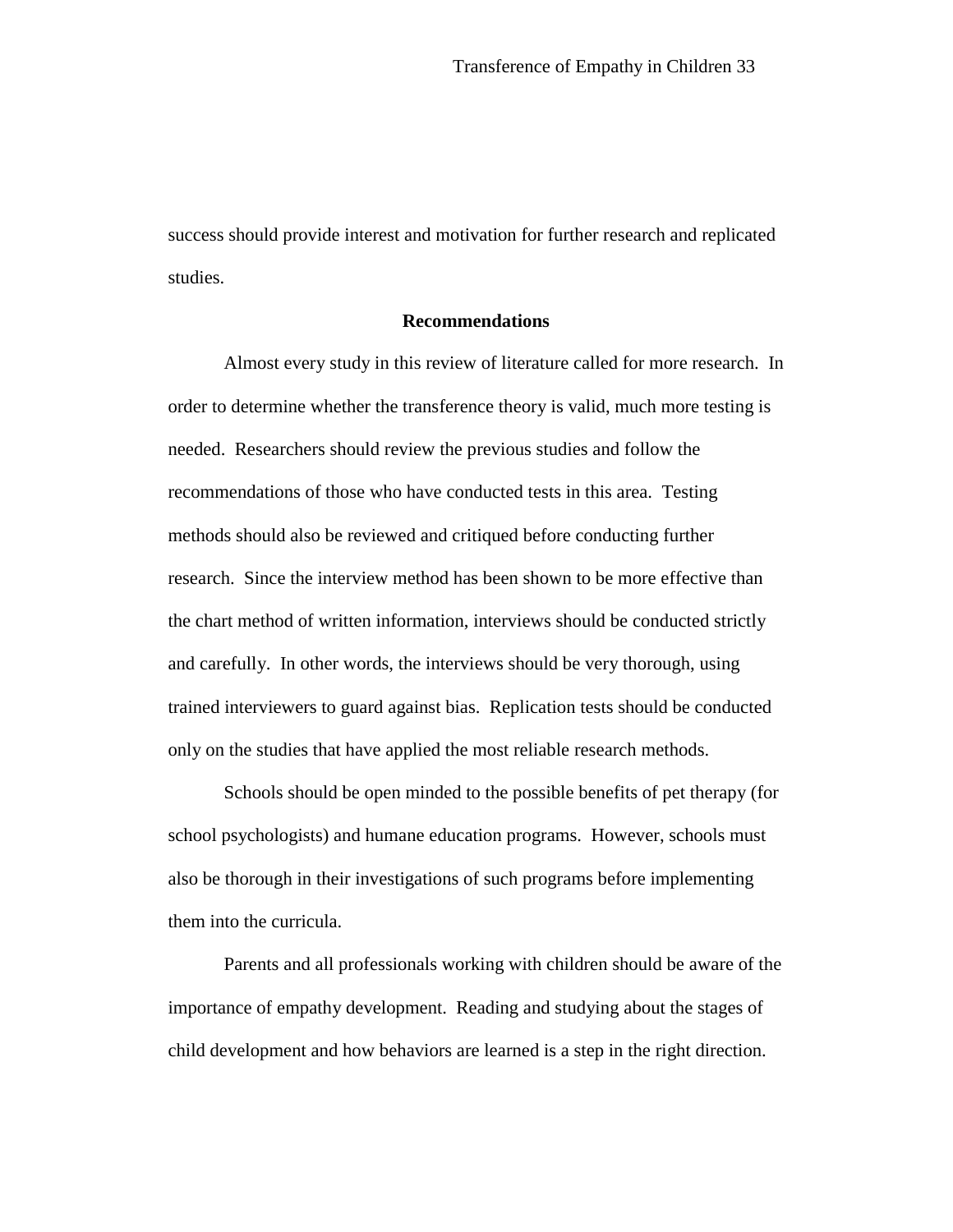success should provide interest and motivation for further research and replicated studies.

#### **Recommendations**

Almost every study in this review of literature called for more research. In order to determine whether the transference theory is valid, much more testing is needed. Researchers should review the previous studies and follow the recommendations of those who have conducted tests in this area. Testing methods should also be reviewed and critiqued before conducting further research. Since the interview method has been shown to be more effective than the chart method of written information, interviews should be conducted strictly and carefully. In other words, the interviews should be very thorough, using trained interviewers to guard against bias. Replication tests should be conducted only on the studies that have applied the most reliable research methods.

Schools should be open minded to the possible benefits of pet therapy (for school psychologists) and humane education programs. However, schools must also be thorough in their investigations of such programs before implementing them into the curricula.

Parents and all professionals working with children should be aware of the importance of empathy development. Reading and studying about the stages of child development and how behaviors are learned is a step in the right direction.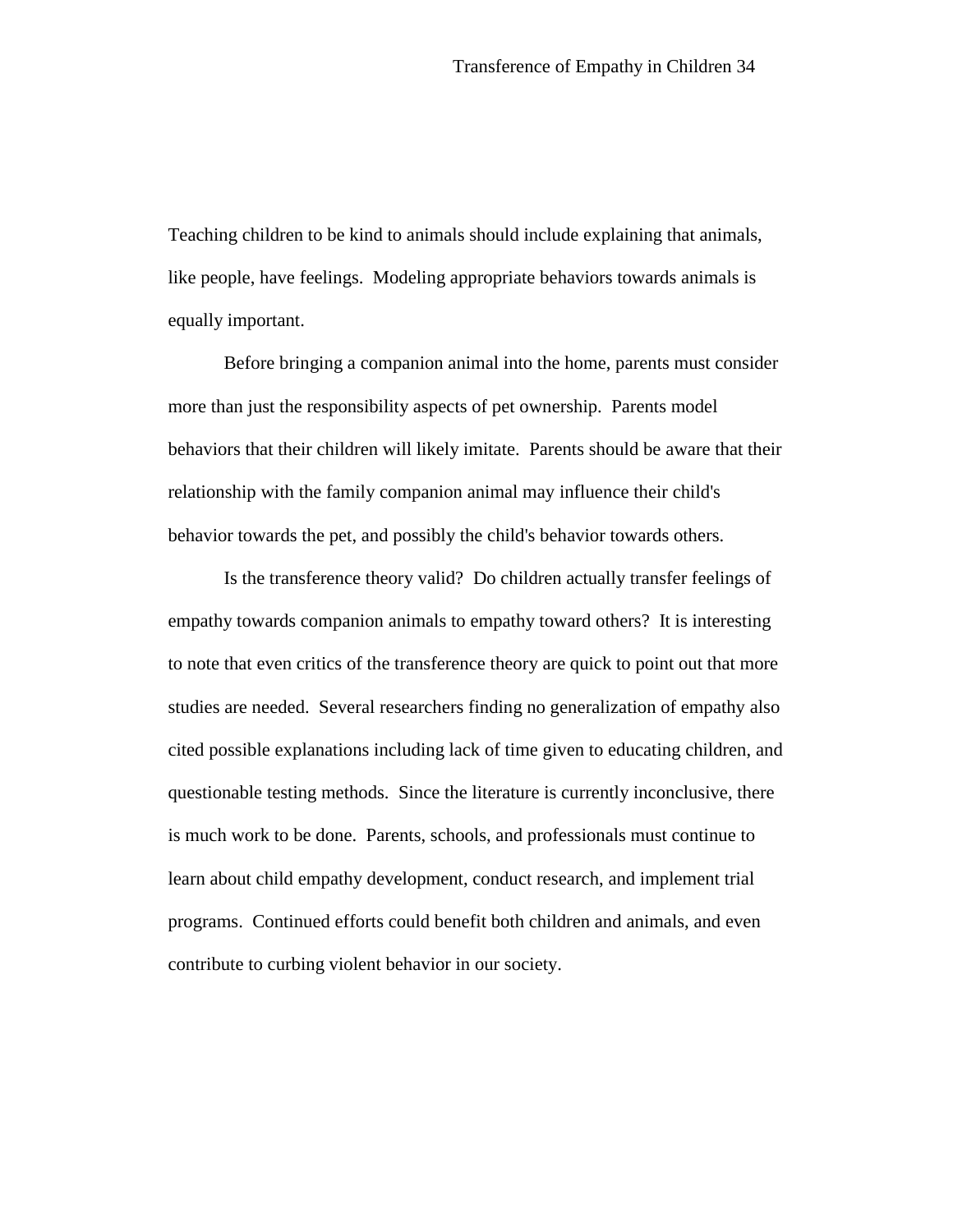Teaching children to be kind to animals should include explaining that animals, like people, have feelings. Modeling appropriate behaviors towards animals is equally important.

Before bringing a companion animal into the home, parents must consider more than just the responsibility aspects of pet ownership. Parents model behaviors that their children will likely imitate. Parents should be aware that their relationship with the family companion animal may influence their child's behavior towards the pet, and possibly the child's behavior towards others.

Is the transference theory valid? Do children actually transfer feelings of empathy towards companion animals to empathy toward others? It is interesting to note that even critics of the transference theory are quick to point out that more studies are needed. Several researchers finding no generalization of empathy also cited possible explanations including lack of time given to educating children, and questionable testing methods. Since the literature is currently inconclusive, there is much work to be done. Parents, schools, and professionals must continue to learn about child empathy development, conduct research, and implement trial programs. Continued efforts could benefit both children and animals, and even contribute to curbing violent behavior in our society.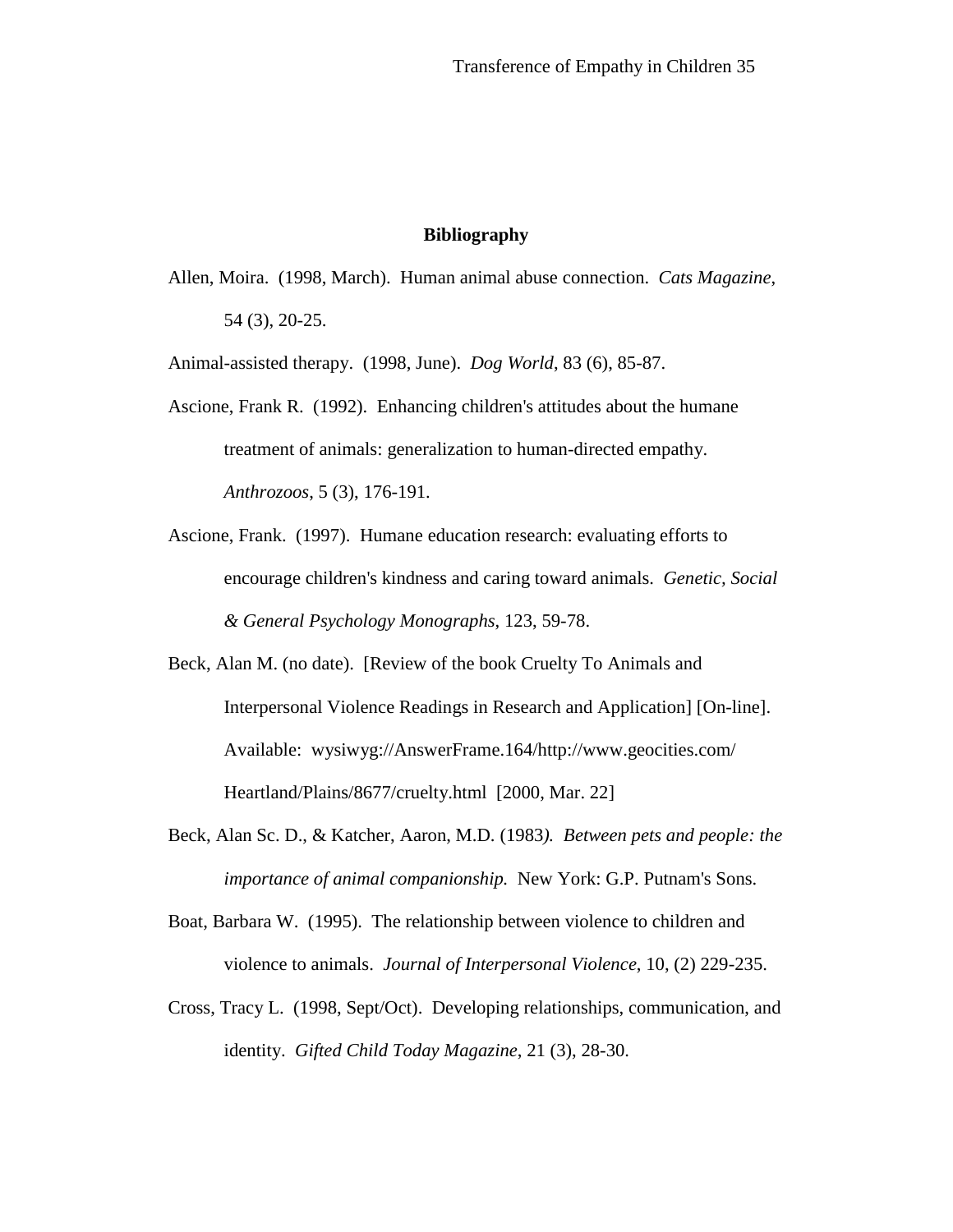## **Bibliography**

Allen, Moira. (1998, March). Human animal abuse connection. *Cats Magazine*, 54 (3), 20-25.

Animal-assisted therapy. (1998, June). *Dog World*, 83 (6), 85-87.

- Ascione, Frank R. (1992). Enhancing children's attitudes about the humane treatment of animals: generalization to human-directed empathy. *Anthrozoos*, 5 (3), 176-191.
- Ascione, Frank. (1997). Humane education research: evaluating efforts to encourage children's kindness and caring toward animals. *Genetic, Social & General Psychology Monographs*, 123, 59-78.
- Beck, Alan M. (no date). [Review of the book Cruelty To Animals and Interpersonal Violence Readings in Research and Application] [On-line]. Available: wysiwyg://AnswerFrame.164/http://www.geocities.com/ Heartland/Plains/8677/cruelty.html [2000, Mar. 22]
- Beck, Alan Sc. D., & Katcher, Aaron, M.D. (1983*). Between pets and people: the importance of animal companionship.* New York: G.P. Putnam's Sons.
- Boat, Barbara W. (1995). The relationship between violence to children and violence to animals. *Journal of Interpersonal Violence*, 10, (2) 229-235.
- Cross, Tracy L. (1998, Sept/Oct). Developing relationships, communication, and identity. *Gifted Child Today Magazine*, 21 (3), 28-30.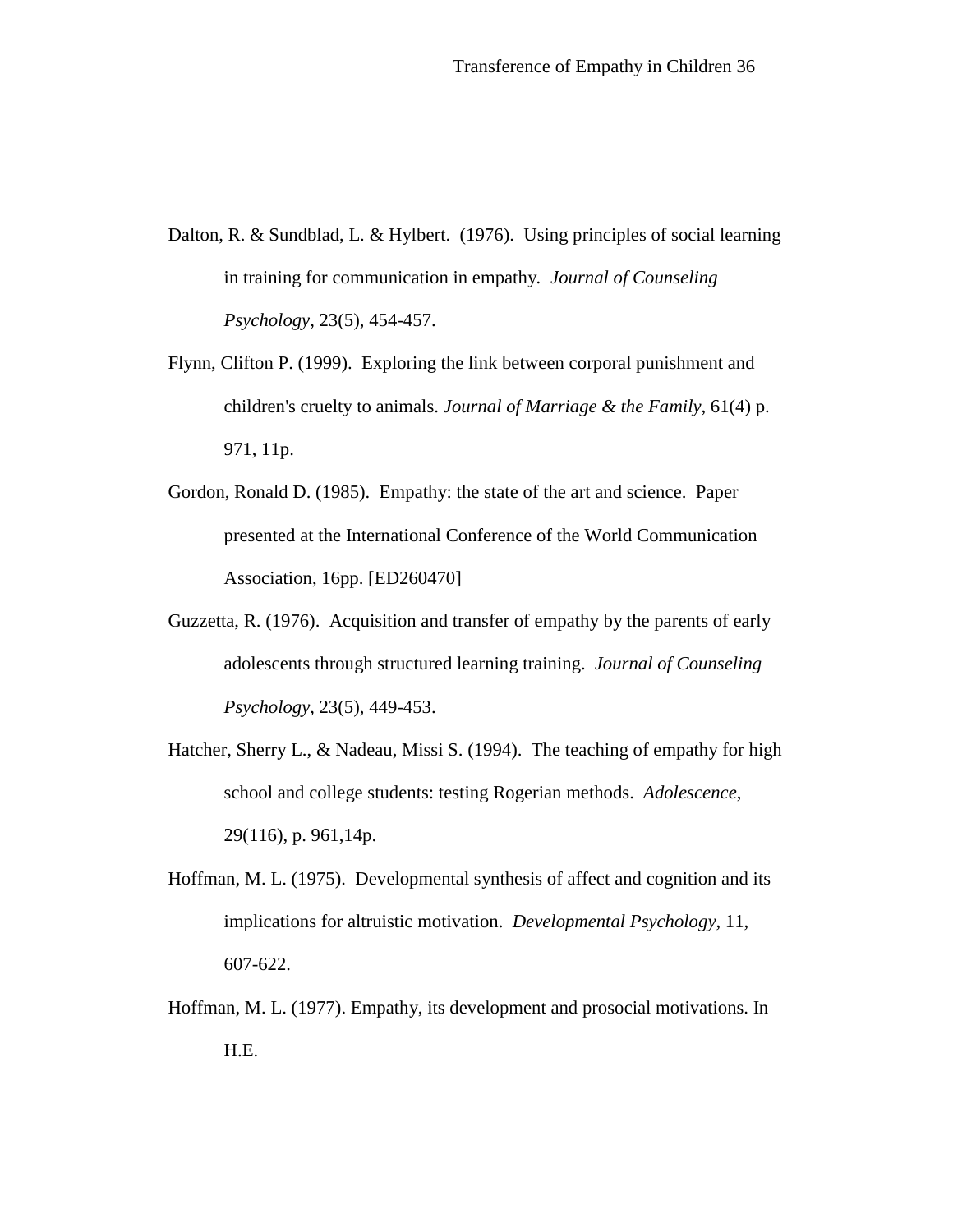- Dalton, R. & Sundblad, L. & Hylbert. (1976). Using principles of social learning in training for communication in empathy*. Journal of Counseling Psychology,* 23(5), 454-457.
- Flynn, Clifton P. (1999). Exploring the link between corporal punishment and children's cruelty to animals. *Journal of Marriage & the Family*, 61(4) p. 971, 11p.
- Gordon, Ronald D. (1985). Empathy: the state of the art and science. Paper presented at the International Conference of the World Communication Association, 16pp. [ED260470]
- Guzzetta, R. (1976). Acquisition and transfer of empathy by the parents of early adolescents through structured learning training. *Journal of Counseling Psychology*, 23(5), 449-453.
- Hatcher, Sherry L., & Nadeau, Missi S. (1994). The teaching of empathy for high school and college students: testing Rogerian methods. *Adolescence*, 29(116), p. 961,14p.
- Hoffman, M. L. (1975). Developmental synthesis of affect and cognition and its implications for altruistic motivation. *Developmental Psychology*, 11, 607-622.
- Hoffman, M. L. (1977). Empathy, its development and prosocial motivations. In H.E.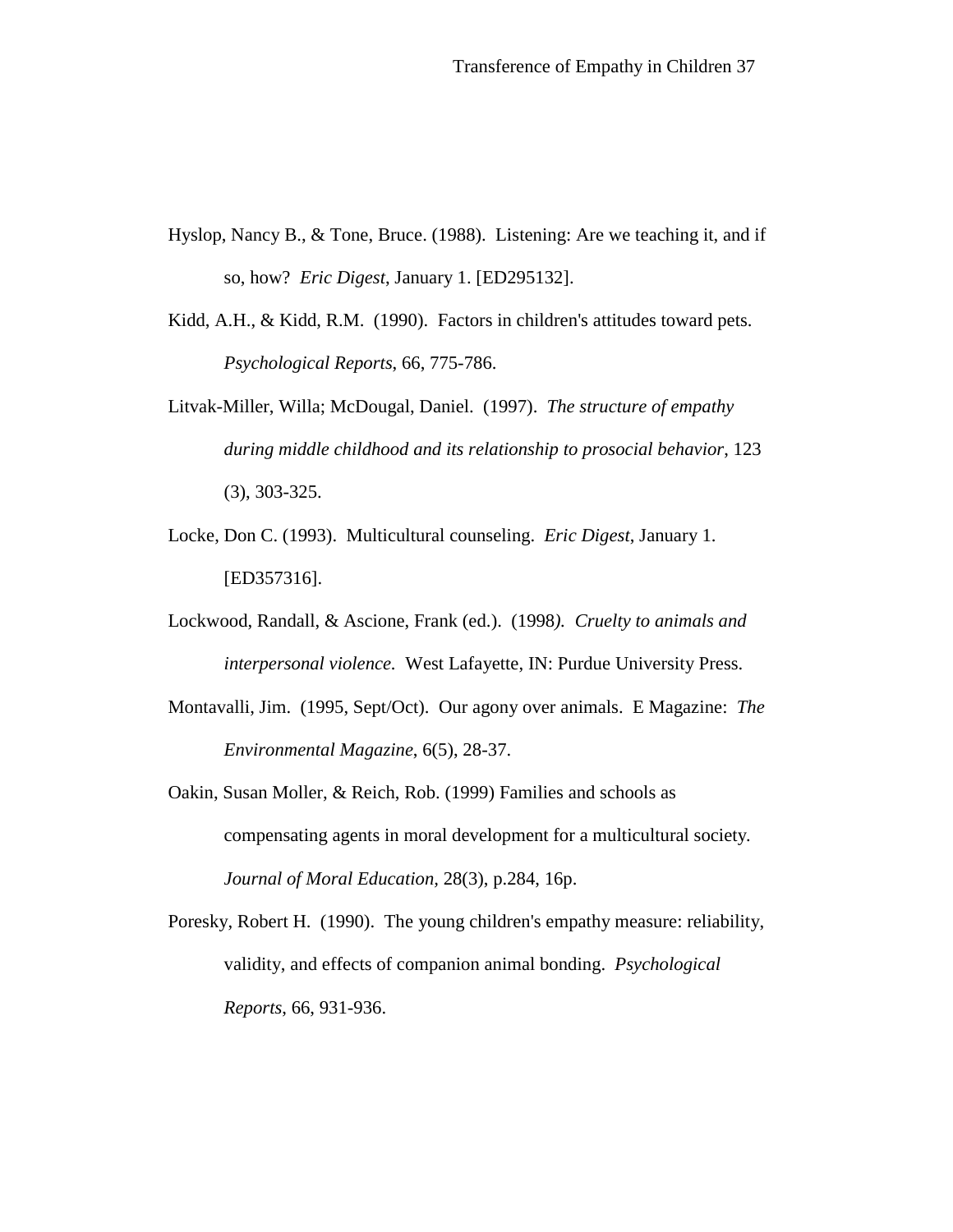- Hyslop, Nancy B., & Tone, Bruce. (1988). Listening: Are we teaching it, and if so, how? *Eric Digest*, January 1. [ED295132].
- Kidd, A.H., & Kidd, R.M. (1990). Factors in children's attitudes toward pets. *Psychological Reports*, 66, 775-786.
- Litvak-Miller, Willa; McDougal, Daniel. (1997). *The structure of empathy during middle childhood and its relationship to prosocial behavior*, 123 (3), 303-325.
- Locke, Don C. (1993). Multicultural counseling. *Eric Digest*, January 1. [ED357316].
- Lockwood, Randall, & Ascione, Frank (ed.). (1998*). Cruelty to animals and interpersonal violence.* West Lafayette, IN: Purdue University Press.
- Montavalli, Jim. (1995, Sept/Oct). Our agony over animals. E Magazine: *The Environmental Magazine*, 6(5), 28-37.
- Oakin, Susan Moller, & Reich, Rob. (1999) Families and schools as compensating agents in moral development for a multicultural society*. Journal of Moral Education,* 28(3), p.284, 16p.
- Poresky, Robert H. (1990). The young children's empathy measure: reliability, validity, and effects of companion animal bonding. *Psychological Reports*, 66, 931-936.